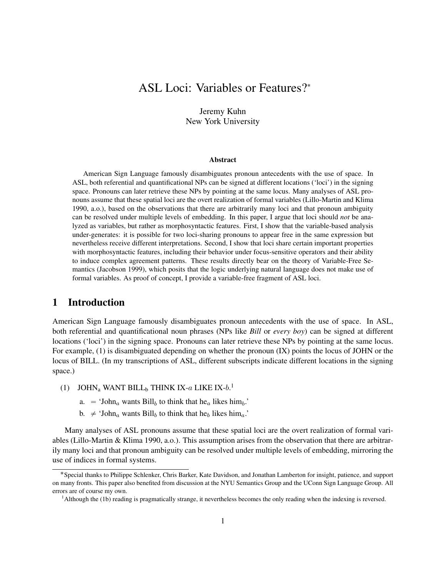# ASL Loci: Variables or Features?˚

Jeremy Kuhn New York University

#### Abstract

American Sign Language famously disambiguates pronoun antecedents with the use of space. In ASL, both referential and quantificational NPs can be signed at different locations ('loci') in the signing space. Pronouns can later retrieve these NPs by pointing at the same locus. Many analyses of ASL pronouns assume that these spatial loci are the overt realization of formal variables (Lillo-Martin and Klima 1990, a.o.), based on the observations that there are arbitrarily many loci and that pronoun ambiguity can be resolved under multiple levels of embedding. In this paper, I argue that loci should *not* be analyzed as variables, but rather as morphosyntactic features. First, I show that the variable-based analysis under-generates: it is possible for two loci-sharing pronouns to appear free in the same expression but nevertheless receive different interpretations. Second, I show that loci share certain important properties with morphosyntactic features, including their behavior under focus-sensitive operators and their ability to induce complex agreement patterns. These results directly bear on the theory of Variable-Free Semantics (Jacobson 1999), which posits that the logic underlying natural language does not make use of formal variables. As proof of concept, I provide a variable-free fragment of ASL loci.

## 1 Introduction

American Sign Language famously disambiguates pronoun antecedents with the use of space. In ASL, both referential and quantificational noun phrases (NPs like *Bill* or *every boy*) can be signed at different locations ('loci') in the signing space. Pronouns can later retrieve these NPs by pointing at the same locus. For example, (1) is disambiguated depending on whether the pronoun (IX) points the locus of JOHN or the locus of BILL. (In my transcriptions of ASL, different subscripts indicate different locations in the signing space.)

- (1) JOHN<sub>a</sub> WANT BILL<sub>b</sub> THINK IX- $a$  LIKE IX- $b$ .<sup>1</sup>
	- a.  $=$  'John<sub>a</sub> wants Bill<sub>b</sub> to think that he<sub>a</sub> likes him<sub>b</sub>.'
	- b.  $\neq$  'John<sub>a</sub> wants Bill<sub>b</sub> to think that he<sub>b</sub> likes him<sub>a</sub>.'

Many analyses of ASL pronouns assume that these spatial loci are the overt realization of formal variables (Lillo-Martin & Klima 1990, a.o.). This assumption arises from the observation that there are arbitrarily many loci and that pronoun ambiguity can be resolved under multiple levels of embedding, mirroring the use of indices in formal systems.

<sup>˚</sup> Special thanks to Philippe Schlenker, Chris Barker, Kate Davidson, and Jonathan Lamberton for insight, patience, and support on many fronts. This paper also benefited from discussion at the NYU Semantics Group and the UConn Sign Language Group. All errors are of course my own.

<sup>&</sup>lt;sup>1</sup>Although the (1b) reading is pragmatically strange, it nevertheless becomes the only reading when the indexing is reversed.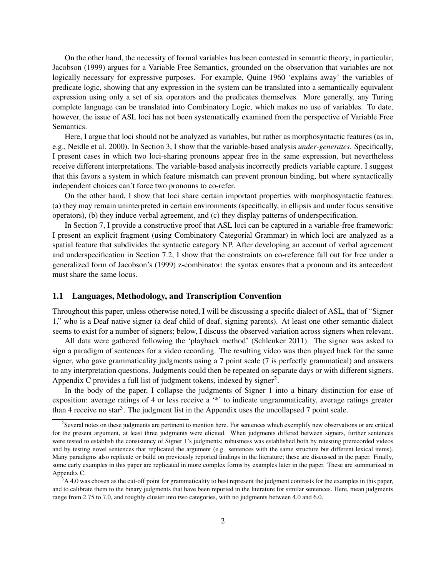On the other hand, the necessity of formal variables has been contested in semantic theory; in particular, Jacobson (1999) argues for a Variable Free Semantics, grounded on the observation that variables are not logically necessary for expressive purposes. For example, Quine 1960 'explains away' the variables of predicate logic, showing that any expression in the system can be translated into a semantically equivalent expression using only a set of six operators and the predicates themselves. More generally, any Turing complete language can be translated into Combinatory Logic, which makes no use of variables. To date, however, the issue of ASL loci has not been systematically examined from the perspective of Variable Free Semantics.

Here, I argue that loci should not be analyzed as variables, but rather as morphosyntactic features (as in, e.g., Neidle et al. 2000). In Section 3, I show that the variable-based analysis *under-generates*. Specifically, I present cases in which two loci-sharing pronouns appear free in the same expression, but nevertheless receive different interpretations. The variable-based analysis incorrectly predicts variable capture. I suggest that this favors a system in which feature mismatch can prevent pronoun binding, but where syntactically independent choices can't force two pronouns to co-refer.

On the other hand, I show that loci share certain important properties with morphosyntactic features: (a) they may remain uninterpreted in certain environments (specifically, in ellipsis and under focus sensitive operators), (b) they induce verbal agreement, and (c) they display patterns of underspecification.

In Section 7, I provide a constructive proof that ASL loci can be captured in a variable-free framework: I present an explicit fragment (using Combinatory Categorial Grammar) in which loci are analyzed as a spatial feature that subdivides the syntactic category NP. After developing an account of verbal agreement and underspecification in Section 7.2, I show that the constraints on co-reference fall out for free under a generalized form of Jacobson's (1999) z-combinator: the syntax ensures that a pronoun and its antecedent must share the same locus.

### 1.1 Languages, Methodology, and Transcription Convention

Throughout this paper, unless otherwise noted, I will be discussing a specific dialect of ASL, that of "Signer 1," who is a Deaf native signer (a deaf child of deaf, signing parents). At least one other semantic dialect seems to exist for a number of signers; below, I discuss the observed variation across signers when relevant.

All data were gathered following the 'playback method' (Schlenker 2011). The signer was asked to sign a paradigm of sentences for a video recording. The resulting video was then played back for the same signer, who gave grammaticality judgments using a 7 point scale (7 is perfectly grammatical) and answers to any interpretation questions. Judgments could then be repeated on separate days or with different signers. Appendix C provides a full list of judgment tokens, indexed by signer<sup>2</sup>.

In the body of the paper, I collapse the judgments of Signer 1 into a binary distinction for ease of exposition: average ratings of 4 or less receive a '\*' to indicate ungrammaticality, average ratings greater than 4 receive no star<sup>3</sup>. The judgment list in the Appendix uses the uncollapsed 7 point scale.

<sup>&</sup>lt;sup>2</sup>Several notes on these judgments are pertinent to mention here. For sentences which exemplify new observations or are critical for the present argument, at least three judgments were elicited. When judgments differed between signers, further sentences were tested to establish the consistency of Signer 1's judgments; robustness was established both by retesting prerecorded videos and by testing novel sentences that replicated the argument (e.g. sentences with the same structure but different lexical items). Many paradigms also replicate or build on previously reported findings in the literature; these are discussed in the paper. Finally, some early examples in this paper are replicated in more complex forms by examples later in the paper. These are summarized in Appendix C.

 $3A$  4.0 was chosen as the cut-off point for grammaticality to best represent the judgment contrasts for the examples in this paper, and to calibrate them to the binary judgments that have been reported in the literature for similar sentences. Here, mean judgments range from 2.75 to 7.0, and roughly cluster into two categories, with no judgments between 4.0 and 6.0.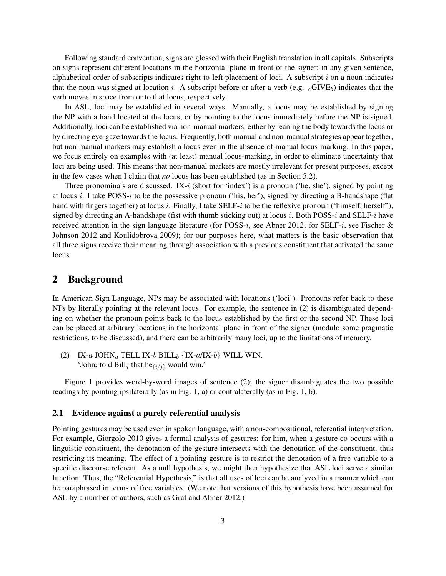Following standard convention, signs are glossed with their English translation in all capitals. Subscripts on signs represent different locations in the horizontal plane in front of the signer; in any given sentence, alphabetical order of subscripts indicates right-to-left placement of loci. A subscript  $i$  on a noun indicates that the noun was signed at location i. A subscript before or after a verb (e.g.  $_a$ GIVE<sub>b</sub>) indicates that the verb moves in space from or to that locus, respectively.

In ASL, loci may be established in several ways. Manually, a locus may be established by signing the NP with a hand located at the locus, or by pointing to the locus immediately before the NP is signed. Additionally, loci can be established via non-manual markers, either by leaning the body towards the locus or by directing eye-gaze towards the locus. Frequently, both manual and non-manual strategies appear together, but non-manual markers may establish a locus even in the absence of manual locus-marking. In this paper, we focus entirely on examples with (at least) manual locus-marking, in order to eliminate uncertainty that loci are being used. This means that non-manual markers are mostly irrelevant for present purposes, except in the few cases when I claim that *no* locus has been established (as in Section 5.2).

Three pronominals are discussed. IX-i (short for 'index') is a pronoun ('he, she'), signed by pointing at locus  $i$ . I take POSS- $i$  to be the possessive pronoun ('his, her'), signed by directing a B-handshape (flat hand with fingers together) at locus i. Finally, I take SELF-i to be the reflexive pronoun ('himself, herself'), signed by directing an A-handshape (fist with thumb sticking out) at locus  $i$ . Both POSS- $i$  and SELF- $i$  have received attention in the sign language literature (for POSS-i, see Abner 2012; for SELF-i, see Fischer & Johnson 2012 and Koulidobrova 2009); for our purposes here, what matters is the basic observation that all three signs receive their meaning through association with a previous constituent that activated the same locus.

## 2 Background

In American Sign Language, NPs may be associated with locations ('loci'). Pronouns refer back to these NPs by literally pointing at the relevant locus. For example, the sentence in (2) is disambiguated depending on whether the pronoun points back to the locus established by the first or the second NP. These loci can be placed at arbitrary locations in the horizontal plane in front of the signer (modulo some pragmatic restrictions, to be discussed), and there can be arbitrarily many loci, up to the limitations of memory.

(2) IX-a JOHN<sub>a</sub> TELL IX-b BILL<sub>b</sub>  ${IX-a/IX-b}$  WILL WIN. 'John<sub>i</sub> told Bill<sub>j</sub> that he $\{i/j\}$  would win.'

Figure 1 provides word-by-word images of sentence (2); the signer disambiguates the two possible readings by pointing ipsilaterally (as in Fig. 1, a) or contralaterally (as in Fig. 1, b).

#### 2.1 Evidence against a purely referential analysis

Pointing gestures may be used even in spoken language, with a non-compositional, referential interpretation. For example, Giorgolo 2010 gives a formal analysis of gestures: for him, when a gesture co-occurs with a linguistic constituent, the denotation of the gesture intersects with the denotation of the constituent, thus restricting its meaning. The effect of a pointing gesture is to restrict the denotation of a free variable to a specific discourse referent. As a null hypothesis, we might then hypothesize that ASL loci serve a similar function. Thus, the "Referential Hypothesis," is that all uses of loci can be analyzed in a manner which can be paraphrased in terms of free variables. (We note that versions of this hypothesis have been assumed for ASL by a number of authors, such as Graf and Abner 2012.)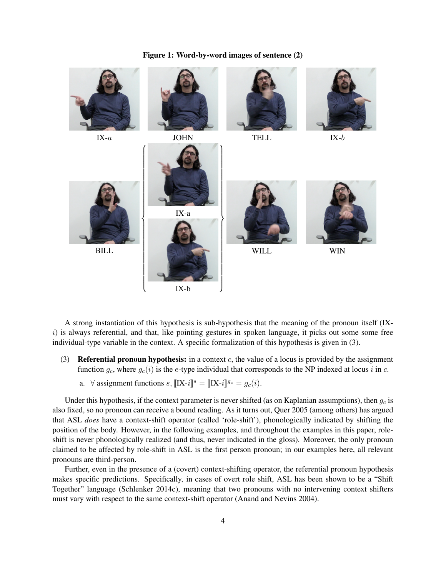

Figure 1: Word-by-word images of sentence (2)

A strong instantiation of this hypothesis is sub-hypothesis that the meaning of the pronoun itself (IX $i)$  is always referential, and that, like pointing gestures in spoken language, it picks out some some free individual-type variable in the context. A specific formalization of this hypothesis is given in (3).

- (3) **Referential pronoun hypothesis:** in a context  $c$ , the value of a locus is provided by the assignment function  $g_c$ , where  $g_c(i)$  is the e-type individual that corresponds to the NP indexed at locus i in c.
	- a.  $\forall$  assignment functions  $s, [[\mathbf{X}-i]]^s = [[\mathbf{X}-i]]^{g_c} = g_c(i)$ .

Under this hypothesis, if the context parameter is never shifted (as on Kaplanian assumptions), then  $g_c$  is also fixed, so no pronoun can receive a bound reading. As it turns out, Quer 2005 (among others) has argued that ASL *does* have a context-shift operator (called 'role-shift'), phonologically indicated by shifting the position of the body. However, in the following examples, and throughout the examples in this paper, roleshift is never phonologically realized (and thus, never indicated in the gloss). Moreover, the only pronoun claimed to be affected by role-shift in ASL is the first person pronoun; in our examples here, all relevant pronouns are third-person.

Further, even in the presence of a (covert) context-shifting operator, the referential pronoun hypothesis makes specific predictions. Specifically, in cases of overt role shift, ASL has been shown to be a "Shift Together" language (Schlenker 2014c), meaning that two pronouns with no intervening context shifters must vary with respect to the same context-shift operator (Anand and Nevins 2004).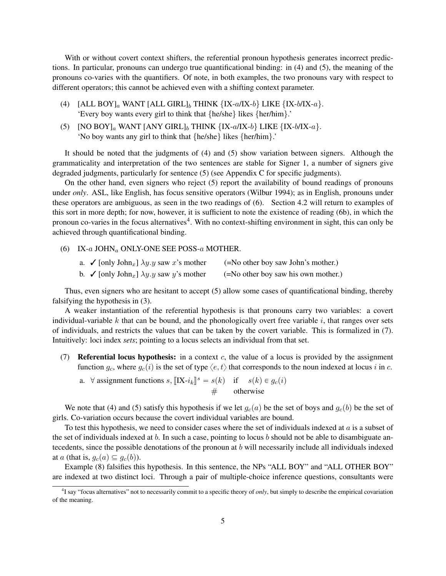With or without covert context shifters, the referential pronoun hypothesis generates incorrect predictions. In particular, pronouns can undergo true quantificational binding: in (4) and (5), the meaning of the pronouns co-varies with the quantifiers. Of note, in both examples, the two pronouns vary with respect to different operators; this cannot be achieved even with a shifting context parameter.

- (4)  $[ALL BOY]_a$  WANT  $[ALL GIRL]_b$  THINK  ${IX-a/IX-b}$  LIKE  ${IX-b/IX-a}$ . 'Every boy wants every girl to think that {he/she} likes {her/him}.'
- (5)  $[NO BOY]_a$  WANT  $[ANY \text{ GIRL}]_b$  THINK  ${IX-a/IX-b}$  LIKE  ${IX-b/IX-a}$ . 'No boy wants any girl to think that {he/she} likes {her/him}.'

It should be noted that the judgments of (4) and (5) show variation between signers. Although the grammaticality and interpretation of the two sentences are stable for Signer 1, a number of signers give degraded judgments, particularly for sentence (5) (see Appendix C for specific judgments).

On the other hand, even signers who reject (5) report the availability of bound readings of pronouns under *only*. ASL, like English, has focus sensitive operators (Wilbur 1994); as in English, pronouns under these operators are ambiguous, as seen in the two readings of (6). Section 4.2 will return to examples of this sort in more depth; for now, however, it is sufficient to note the existence of reading (6b), in which the pronoun co-varies in the focus alternatives<sup>4</sup>. With no context-shifting environment in sight, this can only be achieved through quantificational binding.

- (6) IX- $a$  JOHN $_a$  ONLY-ONE SEE POSS- $a$  MOTHER.
	- a.  $\checkmark$  [only John<sub>x</sub>]  $\lambda y.y$  saw x's mother (=No other boy saw John's mother.)
	- b.  $\checkmark$  [only John<sub>x</sub>]  $\lambda y.y$  saw y's mother (=No other boy saw his own mother.)

Thus, even signers who are hesitant to accept (5) allow some cases of quantificational binding, thereby falsifying the hypothesis in (3).

A weaker instantiation of the referential hypothesis is that pronouns carry two variables: a covert individual-variable  $k$  that can be bound, and the phonologically overt free variable  $i$ , that ranges over sets of individuals, and restricts the values that can be taken by the covert variable. This is formalized in (7). Intuitively: loci index *sets*; pointing to a locus selects an individual from that set.

- (7) **Referential locus hypothesis:** in a context c, the value of a locus is provided by the assignment function  $g_c$ , where  $g_c(i)$  is the set of type  $\langle e, t \rangle$  that corresponds to the noun indexed at locus i in c.
	- a.  $\forall$  assignment functions  $s$ ,  $\llbracket$ IX- $i_k \rrbracket^s = s(k)$  if  $s(k) \in g_c(i)$ # otherwise

We note that (4) and (5) satisfy this hypothesis if we let  $g_c(a)$  be the set of boys and  $g_c(b)$  be the set of girls. Co-variation occurs because the covert individual variables are bound.

To test this hypothesis, we need to consider cases where the set of individuals indexed at a is a subset of the set of individuals indexed at b. In such a case, pointing to locus b should not be able to disambiguate antecedents, since the possible denotations of the pronoun at b will necessarily include all individuals indexed at a (that is,  $g_c(a) \subseteq g_c(b)$ ).

Example (8) falsifies this hypothesis. In this sentence, the NPs "ALL BOY" and "ALL OTHER BOY" are indexed at two distinct loci. Through a pair of multiple-choice inference questions, consultants were

<sup>&</sup>lt;sup>4</sup>I say "focus alternatives" not to necessarily commit to a specific theory of *only*, but simply to describe the empirical covariation of the meaning.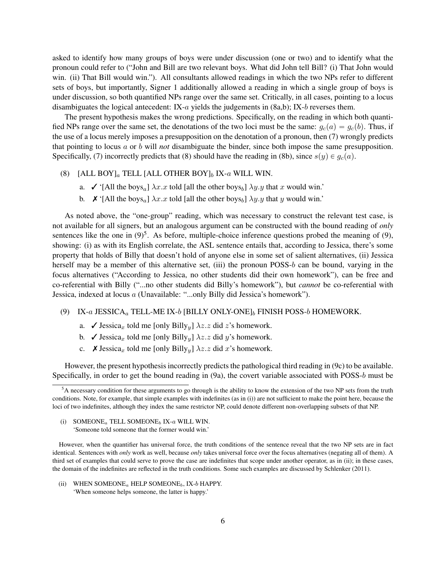asked to identify how many groups of boys were under discussion (one or two) and to identify what the pronoun could refer to ("John and Bill are two relevant boys. What did John tell Bill? (i) That John would win. (ii) That Bill would win."). All consultants allowed readings in which the two NPs refer to different sets of boys, but importantly, Signer 1 additionally allowed a reading in which a single group of boys is under discussion, so both quantified NPs range over the same set. Critically, in all cases, pointing to a locus disambiguates the logical antecedent:  $IX-a$  yields the judgements in  $(8a,b)$ ;  $IX-b$  reverses them.

The present hypothesis makes the wrong predictions. Specifically, on the reading in which both quantified NPs range over the same set, the denotations of the two loci must be the same:  $g_c(a) = g_c(b)$ . Thus, if the use of a locus merely imposes a presupposition on the denotation of a pronoun, then (7) wrongly predicts that pointing to locus a or b will *not* disambiguate the binder, since both impose the same presupposition. Specifically, (7) incorrectly predicts that (8) should have the reading in (8b), since  $s(y) \in q_c(a)$ .

- (8)  $[ALL BOY]_a$  TELL  $[ALL OTHER BOY]_b$  IX-a WILL WIN.
	- a.  $\checkmark$  '[All the boys<sub>a</sub>]  $\lambda x.x$  told [all the other boys<sub>b</sub>]  $\lambda y.y$  that x would win.'
	- b.  $\mathbf{X}$  '[All the boys<sub>a</sub>]  $\lambda x.x$  told [all the other boys<sub>b</sub>]  $\lambda y.y$  that y would win.'

As noted above, the "one-group" reading, which was necessary to construct the relevant test case, is not available for all signers, but an analogous argument can be constructed with the bound reading of *only* sentences like the one in  $(9)^5$ . As before, multiple-choice inference questions probed the meaning of  $(9)$ , showing: (i) as with its English correlate, the ASL sentence entails that, according to Jessica, there's some property that holds of Billy that doesn't hold of anyone else in some set of salient alternatives, (ii) Jessica herself may be a member of this alternative set, (iii) the pronoun POSS-b can be bound, varying in the focus alternatives ("According to Jessica, no other students did their own homework"), can be free and co-referential with Billy ("...no other students did Billy's homework"), but *cannot* be co-referential with Jessica, indexed at locus a (Unavailable: "...only Billy did Jessica's homework").

- (9) IX-a JESSICA<sub>a</sub> TELL-ME IX-b [BILLY ONLY-ONE]<sub>b</sub> FINISH POSS-b HOMEWORK.
	- a.  $\checkmark$  Jessica<sub>x</sub> told me [only Billy<sub>y</sub>]  $\lambda z.z$  did z's homework.
	- b.  $\checkmark$  Jessica<sub>x</sub> told me [only Billy<sub>y</sub>]  $\lambda z.z$  did y's homework.
	- c.  $\boldsymbol{\times}$  Jessica<sub>x</sub> told me [only Billy<sub>y</sub>]  $\lambda z.z$  did x's homework.

However, the present hypothesis incorrectly predicts the pathological third reading in (9c) to be available. Specifically, in order to get the bound reading in (9a), the covert variable associated with POSS-b must be

(i) SOMEONE<sub>a</sub> TELL SOMEONE<sub>b</sub> IX-a WILL WIN. 'Someone told someone that the former would win.'

However, when the quantifier has universal force, the truth conditions of the sentence reveal that the two NP sets are in fact identical. Sentences with *only* work as well, because *only* takes universal force over the focus alternatives (negating all of them). A third set of examples that could serve to prove the case are indefinites that scope under another operator, as in (ii); in these cases, the domain of the indefinites are reflected in the truth conditions. Some such examples are discussed by Schlenker (2011).

(ii) WHEN SOMEONE<sub>a</sub> HELP SOMEONE<sub>b</sub>, IX-b HAPPY. 'When someone helps someone, the latter is happy.'

<sup>&</sup>lt;sup>5</sup>A necessary condition for these arguments to go through is the ability to know the extension of the two NP sets from the truth conditions. Note, for example, that simple examples with indefinites (as in (i)) are not sufficient to make the point here, because the loci of two indefinites, although they index the same restrictor NP, could denote different non-overlapping subsets of that NP.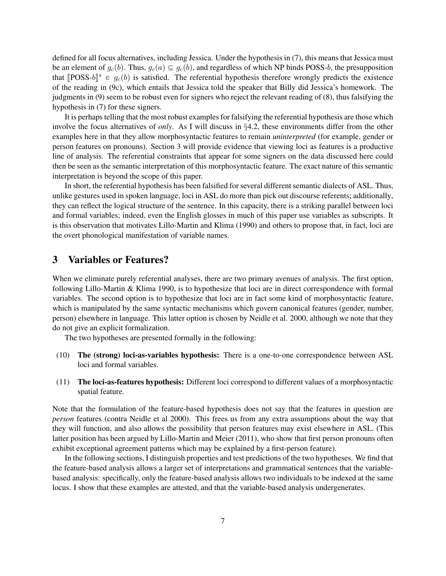defined for all focus alternatives, including Jessica. Under the hypothesis in (7), this means that Jessica must be an element of  $g_c(b)$ . Thus,  $g_c(a) \subseteq g_c(b)$ , and regardless of which NP binds POSS-b, the presupposition that  $[POSS-b]]^s \in g_c(b)$  is satisfied. The referential hypothesis therefore wrongly predicts the existence<br>of the reading in (00), which entails that Isosiae told the encolor that Billy did Isosiae's homework. The of the reading in (9c), which entails that Jessica told the speaker that Billy did Jessica's homework. The judgments in (9) seem to be robust even for signers who reject the relevant reading of (8), thus falsifying the hypothesis in (7) for these signers.

It is perhaps telling that the most robust examples for falsifying the referential hypothesis are those which involve the focus alternatives of *only*. As I will discuss in §4.2, these environments differ from the other examples here in that they allow morphosyntactic features to remain *uninterpreted* (for example, gender or person features on pronouns). Section 3 will provide evidence that viewing loci as features is a productive line of analysis. The referential constraints that appear for some signers on the data discussed here could then be seen as the semantic interpretation of this morphosyntactic feature. The exact nature of this semantic interpretation is beyond the scope of this paper.

In short, the referential hypothesis has been falsified for several different semantic dialects of ASL. Thus, unlike gestures used in spoken language, loci in ASL do more than pick out discourse referents; additionally, they can reflect the logical structure of the sentence. In this capacity, there is a striking parallel between loci and formal variables; indeed, even the English glosses in much of this paper use variables as subscripts. It is this observation that motivates Lillo-Martin and Klima (1990) and others to propose that, in fact, loci are the overt phonological manifestation of variable names.

# 3 Variables or Features?

When we eliminate purely referential analyses, there are two primary avenues of analysis. The first option, following Lillo-Martin & Klima 1990, is to hypothesize that loci are in direct correspondence with formal variables. The second option is to hypothesize that loci are in fact some kind of morphosyntactic feature, which is manipulated by the same syntactic mechanisms which govern canonical features (gender, number, person) elsewhere in language. This latter option is chosen by Neidle et al. 2000, although we note that they do not give an explicit formalization.

The two hypotheses are presented formally in the following:

- (10) The (strong) loci-as-variables hypothesis: There is a one-to-one correspondence between ASL loci and formal variables.
- (11) The loci-as-features hypothesis: Different loci correspond to different values of a morphosyntactic spatial feature.

Note that the formulation of the feature-based hypothesis does not say that the features in question are *person* features (contra Neidle et al 2000). This frees us from any extra assumptions about the way that they will function, and also allows the possibility that person features may exist elsewhere in ASL. (This latter position has been argued by Lillo-Martin and Meier (2011), who show that first person pronouns often exhibit exceptional agreement patterns which may be explained by a first-person feature).

In the following sections, I distinguish properties and test predictions of the two hypotheses. We find that the feature-based analysis allows a larger set of interpretations and grammatical sentences that the variablebased analysis: specifically, only the feature-based analysis allows two individuals to be indexed at the same locus. I show that these examples are attested, and that the variable-based analysis undergenerates.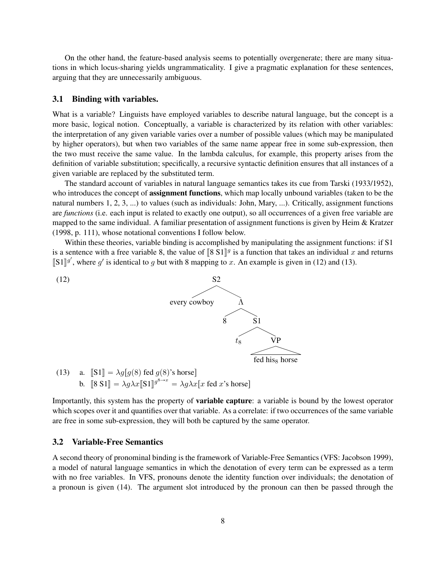On the other hand, the feature-based analysis seems to potentially overgenerate; there are many situations in which locus-sharing yields ungrammaticality. I give a pragmatic explanation for these sentences, arguing that they are unnecessarily ambiguous.

#### 3.1 Binding with variables.

What is a variable? Linguists have employed variables to describe natural language, but the concept is a more basic, logical notion. Conceptually, a variable is characterized by its relation with other variables: the interpretation of any given variable varies over a number of possible values (which may be manipulated by higher operators), but when two variables of the same name appear free in some sub-expression, then the two must receive the same value. In the lambda calculus, for example, this property arises from the definition of variable substitution; specifically, a recursive syntactic definition ensures that all instances of a given variable are replaced by the substituted term.

The standard account of variables in natural language semantics takes its cue from Tarski (1933/1952), who introduces the concept of **assignment functions**, which map locally unbound variables (taken to be the natural numbers 1, 2, 3, ...) to values (such as individuals: John, Mary, ...). Critically, assignment functions are *functions* (i.e. each input is related to exactly one output), so all occurrences of a given free variable are mapped to the same individual. A familiar presentation of assignment functions is given by Heim & Kratzer (1998, p. 111), whose notational conventions I follow below.

Within these theories, variable binding is accomplished by manipulating the assignment functions: if S1 is a sentence with a free variable 8, the value of  $[8 S1]^{g}$  is a function that takes an individual x and returns  $[51]^{g'}$  where  $g'$  is identical to g but with 8 meaning to  $g \Delta p$  example is given in (12) and (13)  $\llbracket \text{S1} \rrbracket^{g'}$ , where g' is identical to g but with 8 mapping to x. An example is given in (12) and (13).



b. 
$$
\llbracket 8 \text{ S1} \rrbracket = \lambda g \lambda x \llbracket \text{S1} \rrbracket^{g^{8 \to x}} = \lambda g \lambda x \llbracket x \text{ fed } x \text{'s horse} \rrbracket
$$

Importantly, this system has the property of variable capture: a variable is bound by the lowest operator which scopes over it and quantifies over that variable. As a correlate: if two occurrences of the same variable are free in some sub-expression, they will both be captured by the same operator.

#### 3.2 Variable-Free Semantics

A second theory of pronominal binding is the framework of Variable-Free Semantics (VFS: Jacobson 1999), a model of natural language semantics in which the denotation of every term can be expressed as a term with no free variables. In VFS, pronouns denote the identity function over individuals; the denotation of a pronoun is given (14). The argument slot introduced by the pronoun can then be passed through the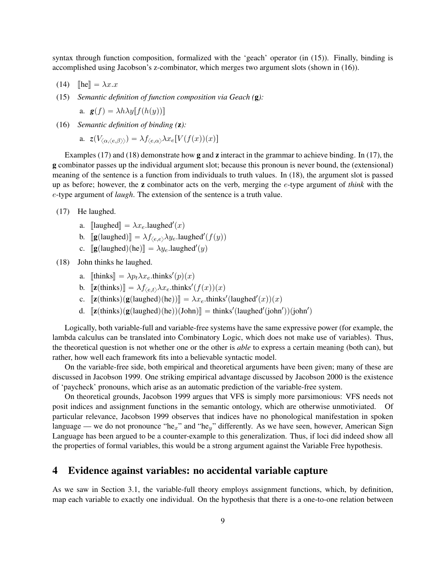syntax through function composition, formalized with the 'geach' operator (in (15)). Finally, binding is accomplished using Jacobson's z-combinator, which merges two argument slots (shown in (16)).

- (14)  $[\text{[he]} = \lambda x.x$ <br>(15) Semantic det
- Semantic definition of function composition via Geach (**g**):

a. 
$$
\mathbf{g}(f) = \lambda h \lambda y [f(h(y))]
$$

(16) *Semantic definition of binding (*z*):*

a.  $z(V_{\langle \alpha, \langle e, \beta \rangle \rangle}) = \lambda f_{\langle e, \alpha \rangle} \lambda x_e[V(f(x))(x)]$ 

Examples (17) and (18) demonstrate how **g** and **z** interact in the grammar to achieve binding. In (17), the g combinator passes up the individual argument slot; because this pronoun is never bound, the (extensional) meaning of the sentence is a function from individuals to truth values. In (18), the argument slot is passed up as before; however, the z combinator acts on the verb, merging the e-type argument of *think* with the e-type argument of *laugh*. The extension of the sentence is a truth value.

- (17) He laughed.
	- a.  $\llbracket \text{laughed} \rrbracket = \lambda x_e \cdot \text{laughed}'(x)$
	- b.  $[\mathbf{g}(\text{laughed})] = \lambda f_{\langle e,e \rangle} \lambda y_e \text{.} \text{laughed}'(f(y))$
	- c.  $[\![\mathbf{g}(\text{laughed})(\text{he})]\!] = \lambda y_e \cdot \text{laughed}'(y)$
- (18) John thinks he laughed.
	- a. [[thinks] =  $\lambda p_t \lambda x_e$ .thinks'(p)(x)
	- b.  $[\![\mathbf{z}(\text{think})]\!] = \lambda f_{\langle e,t \rangle} \lambda x_e \cdot \text{thinks}'(f(x))(x)$
	- c.  $[\mathbf{z}(\text{think}) (\mathbf{g}(\text{laughed})(\text{he}))] = \lambda x_e \cdot \text{think}'(\text{laughed}'(x))(x)$
	- d.  $[\![\mathbf{z}(\text{thinks})(\mathbf{g}(\text{laughed})(\text{he}))(John)]\!] = \text{thinks}'(\text{laughed}'(john'))(john')$

Logically, both variable-full and variable-free systems have the same expressive power (for example, the lambda calculus can be translated into Combinatory Logic, which does not make use of variables). Thus, the theoretical question is not whether one or the other is *able* to express a certain meaning (both can), but rather, how well each framework fits into a believable syntactic model.

On the variable-free side, both empirical and theoretical arguments have been given; many of these are discussed in Jacobson 1999. One striking empirical advantage discussed by Jacobson 2000 is the existence of 'paycheck' pronouns, which arise as an automatic prediction of the variable-free system.

On theoretical grounds, Jacobson 1999 argues that VFS is simply more parsimonious: VFS needs not posit indices and assignment functions in the semantic ontology, which are otherwise unmotiviated. particular relevance, Jacobson 1999 observes that indices have no phonological manifestation in spoken language — we do not pronounce "he<sub>x</sub>" and "he<sub>y</sub>" differently. As we have seen, however, American Sign Language has been argued to be a counter-example to this generalization. Thus, if loci did indeed show all the properties of formal variables, this would be a strong argument against the Variable Free hypothesis.

## 4 Evidence against variables: no accidental variable capture

As we saw in Section 3.1, the variable-full theory employs assignment functions, which, by definition, map each variable to exactly one individual. On the hypothesis that there is a one-to-one relation between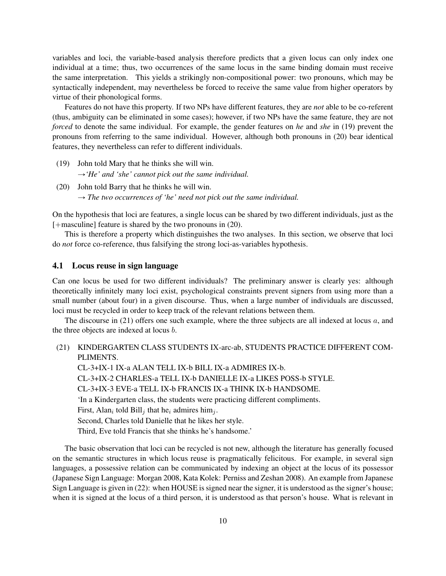variables and loci, the variable-based analysis therefore predicts that a given locus can only index one individual at a time; thus, two occurrences of the same locus in the same binding domain must receive the same interpretation. This yields a strikingly non-compositional power: two pronouns, which may be syntactically independent, may nevertheless be forced to receive the same value from higher operators by virtue of their phonological forms.

Features do not have this property. If two NPs have different features, they are *not* able to be co-referent (thus, ambiguity can be eliminated in some cases); however, if two NPs have the same feature, they are not *forced* to denote the same individual. For example, the gender features on *he* and *she* in (19) prevent the pronouns from referring to the same individual. However, although both pronouns in (20) bear identical features, they nevertheless can refer to different individuals.

- (19) John told Mary that he thinks she will win.  $\rightarrow$  *He' and 'she' cannot pick out the same individual.*
- (20) John told Barry that he thinks he will win.  $\rightarrow$  The two occurrences of 'he' need not pick out the same individual.

On the hypothesis that loci are features, a single locus can be shared by two different individuals, just as the  $[+$ masculine] feature is shared by the two pronouns in (20).

This is therefore a property which distinguishes the two analyses. In this section, we observe that loci do *not* force co-reference, thus falsifying the strong loci-as-variables hypothesis.

#### 4.1 Locus reuse in sign language

Can one locus be used for two different individuals? The preliminary answer is clearly yes: although theoretically infinitely many loci exist, psychological constraints prevent signers from using more than a small number (about four) in a given discourse. Thus, when a large number of individuals are discussed, loci must be recycled in order to keep track of the relevant relations between them.

The discourse in  $(21)$  offers one such example, where the three subjects are all indexed at locus a, and the three objects are indexed at locus b.

(21) KINDERGARTEN CLASS STUDENTS IX-arc-ab, STUDENTS PRACTICE DIFFERENT COM-PLIMENTS.

CL-3+IX-1 IX-a ALAN TELL IX-b BILL IX-a ADMIRES IX-b. CL-3+IX-2 CHARLES-a TELL IX-b DANIELLE IX-a LIKES POSS-b STYLE. CL-3+IX-3 EVE-a TELL IX-b FRANCIS IX-a THINK IX-b HANDSOME. 'In a Kindergarten class, the students were practicing different compliments. First, Alan<sub>i</sub> told Bill<sub>j</sub> that he<sub>i</sub> admires him<sub>j</sub>. Second, Charles told Danielle that he likes her style. Third, Eve told Francis that she thinks he's handsome.'

The basic observation that loci can be recycled is not new, although the literature has generally focused on the semantic structures in which locus reuse is pragmatically felicitous. For example, in several sign languages, a possessive relation can be communicated by indexing an object at the locus of its possessor (Japanese Sign Language: Morgan 2008, Kata Kolek: Perniss and Zeshan 2008). An example from Japanese Sign Language is given in (22): when HOUSE is signed near the signer, it is understood as the signer's house; when it is signed at the locus of a third person, it is understood as that person's house. What is relevant in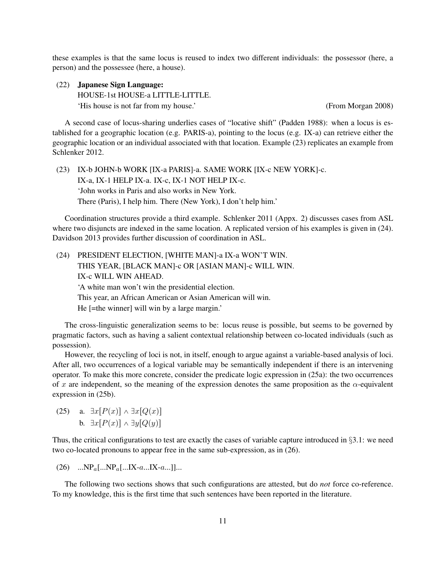these examples is that the same locus is reused to index two different individuals: the possessor (here, a person) and the possessee (here, a house).

(22) Japanese Sign Language: HOUSE-1st HOUSE-a LITTLE-LITTLE. 'His house is not far from my house.' (From Morgan 2008)

A second case of locus-sharing underlies cases of "locative shift" (Padden 1988): when a locus is established for a geographic location (e.g. PARIS-a), pointing to the locus (e.g. IX-a) can retrieve either the geographic location or an individual associated with that location. Example (23) replicates an example from Schlenker 2012.

(23) IX-b JOHN-b WORK [IX-a PARIS]-a. SAME WORK [IX-c NEW YORK]-c. IX-a, IX-1 HELP IX-a. IX-c, IX-1 NOT HELP IX-c. 'John works in Paris and also works in New York. There (Paris), I help him. There (New York), I don't help him.'

Coordination structures provide a third example. Schlenker 2011 (Appx. 2) discusses cases from ASL where two disjuncts are indexed in the same location. A replicated version of his examples is given in  $(24)$ . Davidson 2013 provides further discussion of coordination in ASL.

(24) PRESIDENT ELECTION, [WHITE MAN]-a IX-a WON'T WIN. THIS YEAR, [BLACK MAN]-c OR [ASIAN MAN]-c WILL WIN. IX-c WILL WIN AHEAD. 'A white man won't win the presidential election. This year, an African American or Asian American will win. He [=the winner] will win by a large margin.'

The cross-linguistic generalization seems to be: locus reuse is possible, but seems to be governed by pragmatic factors, such as having a salient contextual relationship between co-located individuals (such as possession).

However, the recycling of loci is not, in itself, enough to argue against a variable-based analysis of loci. After all, two occurrences of a logical variable may be semantically independent if there is an intervening operator. To make this more concrete, consider the predicate logic expression in (25a): the two occurrences of x are independent, so the meaning of the expression denotes the same proposition as the  $\alpha$ -equivalent expression in (25b).

(25) a.  $\exists x [P(x)] \wedge \exists x [Q(x)]$ b.  $\exists x [P(x)] \wedge \exists y [Q(y)]$ 

Thus, the critical configurations to test are exactly the cases of variable capture introduced in §3.1: we need two co-located pronouns to appear free in the same sub-expression, as in (26).

(26) 
$$
...NP_a[...NP_a[...IX-a...IX-a...]]...
$$

The following two sections shows that such configurations are attested, but do *not* force co-reference. To my knowledge, this is the first time that such sentences have been reported in the literature.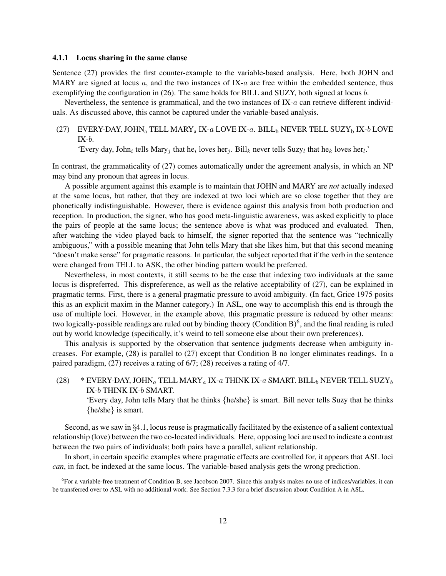#### 4.1.1 Locus sharing in the same clause

Sentence (27) provides the first counter-example to the variable-based analysis. Here, both JOHN and MARY are signed at locus  $a$ , and the two instances of IX- $a$  are free within the embedded sentence, thus exemplifying the configuration in (26). The same holds for BILL and SUZY, both signed at locus b.

Nevertheless, the sentence is grammatical, and the two instances of IX-a can retrieve different individuals. As discussed above, this cannot be captured under the variable-based analysis.

#### (27) EVERY-DAY, JOHN<sub>a</sub> TELL MARY<sub>a</sub> IX-a LOVE IX-a. BILL<sub>b</sub> NEVER TELL SUZY<sub>b</sub> IX-b LOVE  $IX-b.$

'Every day, John<sub>i</sub> tells Mary<sub>j</sub> that he<sub>i</sub> loves her<sub>j</sub>. Bill<sub>k</sub> never tells Suzy<sub>l</sub> that he<sub>k</sub> loves her<sub>l</sub>.'

In contrast, the grammaticality of (27) comes automatically under the agreement analysis, in which an NP may bind any pronoun that agrees in locus.

A possible argument against this example is to maintain that JOHN and MARY are *not* actually indexed at the same locus, but rather, that they are indexed at two loci which are so close together that they are phonetically indistinguishable. However, there is evidence against this analysis from both production and reception. In production, the signer, who has good meta-linguistic awareness, was asked explicitly to place the pairs of people at the same locus; the sentence above is what was produced and evaluated. Then, after watching the video played back to himself, the signer reported that the sentence was "technically ambiguous," with a possible meaning that John tells Mary that she likes him, but that this second meaning "doesn't make sense" for pragmatic reasons. In particular, the subject reported that if the verb in the sentence were changed from TELL to ASK, the other binding pattern would be preferred.

Nevertheless, in most contexts, it still seems to be the case that indexing two individuals at the same locus is dispreferred. This dispreference, as well as the relative acceptability of (27), can be explained in pragmatic terms. First, there is a general pragmatic pressure to avoid ambiguity. (In fact, Grice 1975 posits this as an explicit maxim in the Manner category.) In ASL, one way to accomplish this end is through the use of multiple loci. However, in the example above, this pragmatic pressure is reduced by other means: two logically-possible readings are ruled out by binding theory (Condition B) $^6$ , and the final reading is ruled out by world knowledge (specifically, it's weird to tell someone else about their own preferences).

This analysis is supported by the observation that sentence judgments decrease when ambiguity increases. For example, (28) is parallel to (27) except that Condition B no longer eliminates readings. In a paired paradigm, (27) receives a rating of 6/7; (28) receives a rating of 4/7.

(28) \* EVERY-DAY, JOHN<sub>a</sub> TELL MARY<sub>a</sub> IX-a THINK IX-a SMART. BILL<sub>b</sub> NEVER TELL SUZY<sub>b</sub> IX-b THINK IX-b SMART.

'Every day, John tells Mary that he thinks {he/she} is smart. Bill never tells Suzy that he thinks {he/she} is smart.

Second, as we saw in §4.1, locus reuse is pragmatically facilitated by the existence of a salient contextual relationship (love) between the two co-located individuals. Here, opposing loci are used to indicate a contrast between the two pairs of individuals; both pairs have a parallel, salient relationship.

In short, in certain specific examples where pragmatic effects are controlled for, it appears that ASL loci *can*, in fact, be indexed at the same locus. The variable-based analysis gets the wrong prediction.

<sup>&</sup>lt;sup>6</sup>For a variable-free treatment of Condition B, see Jacobson 2007. Since this analysis makes no use of indices/variables, it can be transferred over to ASL with no additional work. See Section 7.3.3 for a brief discussion about Condition A in ASL.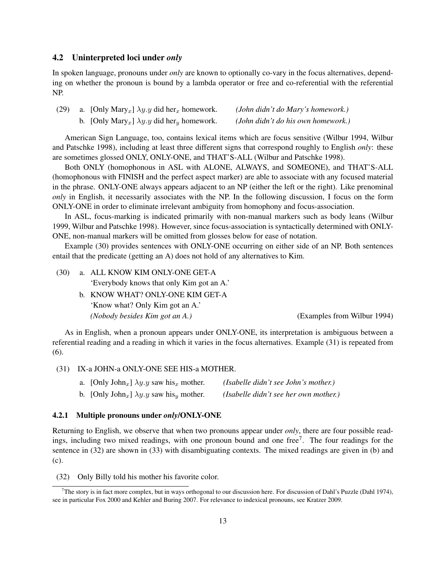#### 4.2 Uninterpreted loci under *only*

In spoken language, pronouns under *only* are known to optionally co-vary in the focus alternatives, depending on whether the pronoun is bound by a lambda operator or free and co-referential with the referential NP.

| (29) | a. [Only Mary <sub>x</sub> ] $\lambda y.y$ did her <sub>x</sub> homework.  | (John didn't do Mary's homework.)  |
|------|----------------------------------------------------------------------------|------------------------------------|
|      | b. [Only Mary <sub>x</sub> ] $\lambda y. y$ did her <sub>y</sub> homework. | (John didn't do his own homework.) |

American Sign Language, too, contains lexical items which are focus sensitive (Wilbur 1994, Wilbur and Patschke 1998), including at least three different signs that correspond roughly to English *only*: these are sometimes glossed ONLY, ONLY-ONE, and THAT'S-ALL (Wilbur and Patschke 1998).

Both ONLY (homophonous in ASL with ALONE, ALWAYS, and SOMEONE), and THAT'S-ALL (homophonous with FINISH and the perfect aspect marker) are able to associate with any focused material in the phrase. ONLY-ONE always appears adjacent to an NP (either the left or the right). Like prenominal *only* in English, it necessarily associates with the NP. In the following discussion, I focus on the form ONLY-ONE in order to eliminate irrelevant ambiguity from homophony and focus-association.

In ASL, focus-marking is indicated primarily with non-manual markers such as body leans (Wilbur 1999, Wilbur and Patschke 1998). However, since focus-association is syntactically determined with ONLY-ONE, non-manual markers will be omitted from glosses below for ease of notation.

Example (30) provides sentences with ONLY-ONE occurring on either side of an NP. Both sentences entail that the predicate (getting an A) does not hold of any alternatives to Kim.

| (30) | a. ALL KNOW KIM ONLY-ONE GET-A            |                             |
|------|-------------------------------------------|-----------------------------|
|      | 'Everybody knows that only Kim got an A.' |                             |
|      | b. KNOW WHAT? ONLY-ONE KIM GET-A          |                             |
|      | 'Know what? Only Kim got an A.'           |                             |
|      | (Nobody besides Kim got an A.)            | (Examples from Wilbur 1994) |

As in English, when a pronoun appears under ONLY-ONE, its interpretation is ambiguous between a referential reading and a reading in which it varies in the focus alternatives. Example (31) is repeated from (6).

(31) IX-a JOHN-a ONLY-ONE SEE HIS-a MOTHER.

| a. [Only John <sub>x</sub> ] $\lambda y.y$ saw his <sub>x</sub> mother. | (Isabelle didn't see John's mother.)  |
|-------------------------------------------------------------------------|---------------------------------------|
| b. [Only John <sub>x</sub> ] $\lambda y.y$ saw his <sub>y</sub> mother. | (Isabelle didn't see her own mother.) |

#### 4.2.1 Multiple pronouns under *only*/ONLY-ONE

Returning to English, we observe that when two pronouns appear under *only*, there are four possible readings, including two mixed readings, with one pronoun bound and one free<sup>7</sup>. The four readings for the sentence in  $(32)$  are shown in  $(33)$  with disambiguating contexts. The mixed readings are given in (b) and (c).

(32) Only Billy told his mother his favorite color.

<sup>&</sup>lt;sup>7</sup>The story is in fact more complex, but in ways orthogonal to our discussion here. For discussion of Dahl's Puzzle (Dahl 1974), see in particular Fox 2000 and Kehler and Buring 2007. For relevance to indexical pronouns, see Kratzer 2009.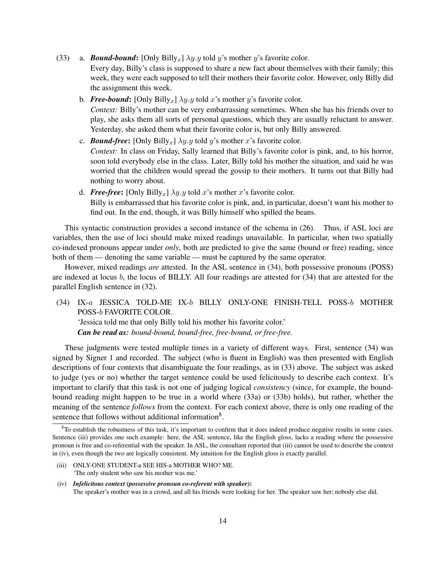(33) a. **Bound-bound:** [Only Billy<sub>x</sub>]  $\lambda y. y$  told y's mother y's favorite color.

Every day, Billy's class is supposed to share a new fact about themselves with their family; this week, they were each supposed to tell their mothers their favorite color. However, only Billy did the assignment this week.

b. *Free-bound*: [Only Billy<sub>x</sub>]  $\lambda y. y$  told x's mother y's favorite color.

*Context:* Billy's mother can be very embarrassing sometimes. When she has his friends over to play, she asks them all sorts of personal questions, which they are usually reluctant to answer. Yesterday, she asked them what their favorite color is, but only Billy answered.

c. **Bound-free:** [Only Billy<sub>x</sub>]  $\lambda y. y$  told y's mother x's favorite color.

*Context:* In class on Friday, Sally learned that Billy's favorite color is pink, and, to his horror, soon told everybody else in the class. Later, Billy told his mother the situation, and said he was worried that the children would spread the gossip to their mothers. It turns out that Billy had nothing to worry about.

d. **Free-free:** [Only Billy<sub>x</sub>]  $\lambda y. y$  told x's mother x's favorite color. Billy is embarrassed that his favorite color is pink, and, in particular, doesn't want his mother to

find out. In the end, though, it was Billy himself who spilled the beans.

This syntactic construction provides a second instance of the schema in (26). Thus, if ASL loci are variables, then the use of loci should make mixed readings unavailable. In particular, when two spatially co-indexed pronouns appear under *only*, both are predicted to give the same (bound or free) reading, since both of them — denoting the same variable — must be captured by the same operator.

However, mixed readings *are* attested. In the ASL sentence in (34), both possessive pronouns (POSS) are indexed at locus b, the locus of BILLY. All four readings are attested for (34) that are attested for the parallel English sentence in (32).

(34) IX-a JESSICA TOLD-ME IX-b BILLY ONLY-ONE FINISH-TELL POSS-b MOTHER POSS-b FAVORITE COLOR. 'Jessica told me that only Billy told his mother his favorite color.'

*Can be read as: bound-bound, bound-free, free-bound, or free-free.*

These judgments were tested multiple times in a variety of different ways. First, sentence (34) was signed by Signer 1 and recorded. The subject (who is fluent in English) was then presented with English descriptions of four contexts that disambiguate the four readings, as in (33) above. The subject was asked to judge (yes or no) whether the target sentence could be used felicitously to describe each context. It's important to clarify that this task is not one of judging logical *consistency* (since, for example, the boundbound reading might happen to be true in a world where (33a) or (33b) holds), but rather, whether the meaning of the sentence *follows* from the context. For each context above, there is only one reading of the sentence that follows without additional information<sup>8</sup>.

- (iii) ONLY-ONE STUDENT-a SEE HIS-a MOTHER WHO? ME. 'The only student who saw his mother was me.'
- (iv) *Infelicitous context (possessive pronoun co-referent with speaker)*: The speaker's mother was in a crowd, and all his friends were looking for her. The speaker saw her; nobody else did.

 ${}^{8}$ To establish the robustness of this task, it's important to confirm that it does indeed produce negative results in some cases. Sentence (iii) provides one such example: here, the ASL sentence, like the English gloss, lacks a reading where the possessive pronoun is free and co-referential with the speaker. In ASL, the consultant reported that (iii) cannot be used to describe the context in (iv), even though the two are logically consistent. My intuition for the English gloss is exactly parallel.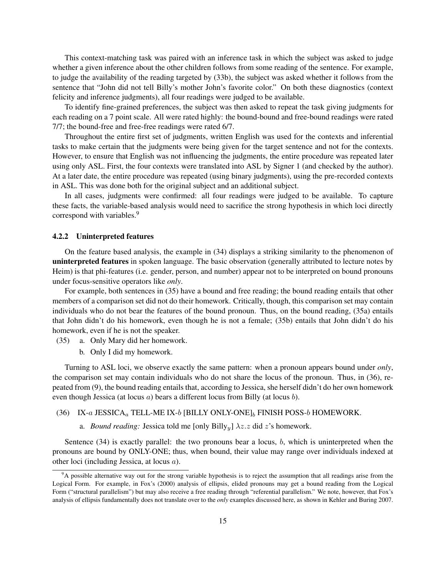This context-matching task was paired with an inference task in which the subject was asked to judge whether a given inference about the other children follows from some reading of the sentence. For example, to judge the availability of the reading targeted by (33b), the subject was asked whether it follows from the sentence that "John did not tell Billy's mother John's favorite color." On both these diagnostics (context felicity and inference judgments), all four readings were judged to be available.

To identify fine-grained preferences, the subject was then asked to repeat the task giving judgments for each reading on a 7 point scale. All were rated highly: the bound-bound and free-bound readings were rated 7/7; the bound-free and free-free readings were rated 6/7.

Throughout the entire first set of judgments, written English was used for the contexts and inferential tasks to make certain that the judgments were being given for the target sentence and not for the contexts. However, to ensure that English was not influencing the judgments, the entire procedure was repeated later using only ASL. First, the four contexts were translated into ASL by Signer 1 (and checked by the author). At a later date, the entire procedure was repeated (using binary judgments), using the pre-recorded contexts in ASL. This was done both for the original subject and an additional subject.

In all cases, judgments were confirmed: all four readings were judged to be available. To capture these facts, the variable-based analysis would need to sacrifice the strong hypothesis in which loci directly correspond with variables.<sup>9</sup>

#### 4.2.2 Uninterpreted features

On the feature based analysis, the example in (34) displays a striking similarity to the phenomenon of uninterpreted features in spoken language. The basic observation (generally attributed to lecture notes by Heim) is that phi-features (i.e. gender, person, and number) appear not to be interpreted on bound pronouns under focus-sensitive operators like *only*.

For example, both sentences in (35) have a bound and free reading; the bound reading entails that other members of a comparison set did not do their homework. Critically, though, this comparison set may contain individuals who do not bear the features of the bound pronoun. Thus, on the bound reading, (35a) entails that John didn't do his homework, even though he is not a female; (35b) entails that John didn't do his homework, even if he is not the speaker.

- (35) a. Only Mary did her homework.
	- b. Only I did my homework.

Turning to ASL loci, we observe exactly the same pattern: when a pronoun appears bound under *only*, the comparison set may contain individuals who do not share the locus of the pronoun. Thus, in (36), repeated from (9), the bound reading entails that, according to Jessica, she herself didn't do her own homework even though Jessica (at locus a) bears a different locus from Billy (at locus b).

(36) IX-a JESSICA<sub>a</sub> TELL-ME IX-b [BILLY ONLY-ONE]<sub>b</sub> FINISH POSS-b HOMEWORK.

a. *Bound reading:* Jessica told me [only Billy<sub>u</sub>]  $\lambda z.z$  did z's homework.

Sentence (34) is exactly parallel: the two pronouns bear a locus, b, which is uninterpreted when the pronouns are bound by ONLY-ONE; thus, when bound, their value may range over individuals indexed at other loci (including Jessica, at locus a).

<sup>&</sup>lt;sup>9</sup>A possible alternative way out for the strong variable hypothesis is to reject the assumption that all readings arise from the Logical Form. For example, in Fox's (2000) analysis of ellipsis, elided pronouns may get a bound reading from the Logical Form ("structural parallelism") but may also receive a free reading through "referential parallelism." We note, however, that Fox's analysis of ellipsis fundamentally does not translate over to the *only* examples discussed here, as shown in Kehler and Buring 2007.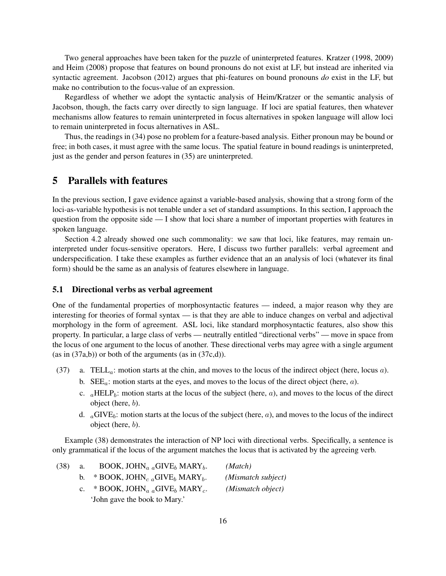Two general approaches have been taken for the puzzle of uninterpreted features. Kratzer (1998, 2009) and Heim (2008) propose that features on bound pronouns do not exist at LF, but instead are inherited via syntactic agreement. Jacobson (2012) argues that phi-features on bound pronouns *do* exist in the LF, but make no contribution to the focus-value of an expression.

Regardless of whether we adopt the syntactic analysis of Heim/Kratzer or the semantic analysis of Jacobson, though, the facts carry over directly to sign language. If loci are spatial features, then whatever mechanisms allow features to remain uninterpreted in focus alternatives in spoken language will allow loci to remain uninterpreted in focus alternatives in ASL.

Thus, the readings in (34) pose no problem for a feature-based analysis. Either pronoun may be bound or free; in both cases, it must agree with the same locus. The spatial feature in bound readings is uninterpreted, just as the gender and person features in  $(35)$  are uninterpreted.

# 5 Parallels with features

In the previous section, I gave evidence against a variable-based analysis, showing that a strong form of the loci-as-variable hypothesis is not tenable under a set of standard assumptions. In this section, I approach the question from the opposite side — I show that loci share a number of important properties with features in spoken language.

Section 4.2 already showed one such commonality: we saw that loci, like features, may remain uninterpreted under focus-sensitive operators. Here, I discuss two further parallels: verbal agreement and underspecification. I take these examples as further evidence that an an analysis of loci (whatever its final form) should be the same as an analysis of features elsewhere in language.

#### 5.1 Directional verbs as verbal agreement

One of the fundamental properties of morphosyntactic features — indeed, a major reason why they are interesting for theories of formal syntax — is that they are able to induce changes on verbal and adjectival morphology in the form of agreement. ASL loci, like standard morphosyntactic features, also show this property. In particular, a large class of verbs — neutrally entitled "directional verbs" — move in space from the locus of one argument to the locus of another. These directional verbs may agree with a single argument (as in  $(37a,b)$ ) or both of the arguments (as in  $(37c,d)$ ).

- (37) a. TELL<sub>a</sub>: motion starts at the chin, and moves to the locus of the indirect object (here, locus a).
	- b.  $\text{SEE}_{a}$ : motion starts at the eyes, and moves to the locus of the direct object (here, a).
	- c.  $_{a}$ HELP<sub>b</sub>: motion starts at the locus of the subject (here, a), and moves to the locus of the direct object (here, b).
	- d.  $_a$ GIVE<sub>b</sub>: motion starts at the locus of the subject (here, a), and moves to the locus of the indirect object (here, b).

Example (38) demonstrates the interaction of NP loci with directional verbs. Specifically, a sentence is only grammatical if the locus of the argument matches the locus that is activated by the agreeing verb.

| (38) | a. | BOOK, JOHN <sub>a a</sub> GIVE <sub>b</sub> MARY <sub>b</sub> .   | (Match)            |
|------|----|-------------------------------------------------------------------|--------------------|
|      |    | * BOOK, JOHN <sub>c a</sub> GIVE <sub>b</sub> MARY <sub>b</sub> . | (Mismatch subject) |
|      |    | * BOOK, JOHN <sub>a a</sub> GIVE <sub>b</sub> MARY <sub>c</sub> . | (Mismatch object)  |
|      |    | 'John gave the book to Mary.'                                     |                    |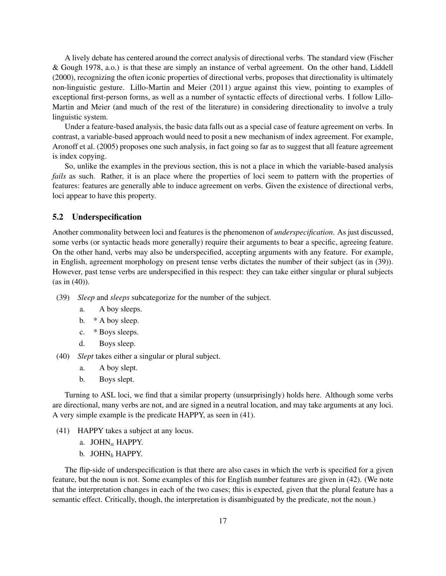A lively debate has centered around the correct analysis of directional verbs. The standard view (Fischer & Gough 1978, a.o.) is that these are simply an instance of verbal agreement. On the other hand, Liddell (2000), recognizing the often iconic properties of directional verbs, proposes that directionality is ultimately non-linguistic gesture. Lillo-Martin and Meier (2011) argue against this view, pointing to examples of exceptional first-person forms, as well as a number of syntactic effects of directional verbs. I follow Lillo-Martin and Meier (and much of the rest of the literature) in considering directionality to involve a truly linguistic system.

Under a feature-based analysis, the basic data falls out as a special case of feature agreement on verbs. In contrast, a variable-based approach would need to posit a new mechanism of index agreement. For example, Aronoff et al. (2005) proposes one such analysis, in fact going so far as to suggest that all feature agreement is index copying.

So, unlike the examples in the previous section, this is not a place in which the variable-based analysis *fails* as such. Rather, it is an place where the properties of loci seem to pattern with the properties of features: features are generally able to induce agreement on verbs. Given the existence of directional verbs, loci appear to have this property.

#### 5.2 Underspecification

Another commonality between loci and features is the phenomenon of *underspecification*. As just discussed, some verbs (or syntactic heads more generally) require their arguments to bear a specific, agreeing feature. On the other hand, verbs may also be underspecified, accepting arguments with any feature. For example, in English, agreement morphology on present tense verbs dictates the number of their subject (as in (39)). However, past tense verbs are underspecified in this respect: they can take either singular or plural subjects (as in (40)).

- (39) *Sleep* and *sleeps* subcategorize for the number of the subject.
	- a. A boy sleeps.
	- b. \* A boy sleep.
	- c. \* Boys sleeps.
	- d. Boys sleep.
- (40) *Slept* takes either a singular or plural subject.
	- a. A boy slept.
	- b. Boys slept.

Turning to ASL loci, we find that a similar property (unsurprisingly) holds here. Although some verbs are directional, many verbs are not, and are signed in a neutral location, and may take arguments at any loci. A very simple example is the predicate HAPPY, as seen in (41).

- (41) HAPPY takes a subject at any locus.
	- a. JOHN<sub>a</sub> HAPPY.
	- b. JOHN $_b$  HAPPY.

The flip-side of underspecification is that there are also cases in which the verb is specified for a given feature, but the noun is not. Some examples of this for English number features are given in (42). (We note that the interpretation changes in each of the two cases; this is expected, given that the plural feature has a semantic effect. Critically, though, the interpretation is disambiguated by the predicate, not the noun.)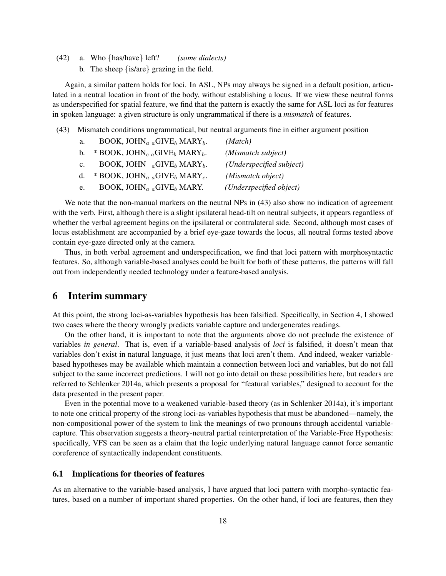(42) a. Who {has/have} left? *(some dialects)* b. The sheep {is/are} grazing in the field.

Again, a similar pattern holds for loci. In ASL, NPs may always be signed in a default position, articulated in a neutral location in front of the body, without establishing a locus. If we view these neutral forms as underspecified for spatial feature, we find that the pattern is exactly the same for ASL loci as for features in spoken language: a given structure is only ungrammatical if there is a *mismatch* of features.

(43) Mismatch conditions ungrammatical, but neutral arguments fine in either argument position

| a.        | BOOK, JOHN <sub>a a</sub> GIVE <sub>b</sub> MARY <sub>b</sub> .      | (Match)                  |
|-----------|----------------------------------------------------------------------|--------------------------|
|           | b. * BOOK, JOHN <sub>c a</sub> GIVE <sub>b</sub> MARY <sub>b</sub> . | (Mismatch subject)       |
| $c_{\rm}$ | BOOK, JOHN $_{a}$ GIVE <sub>b</sub> MARY <sub>b</sub> .              | (Underspecified subject) |
|           | d. * BOOK, JOHN <sub>a a</sub> GIVE <sub>b</sub> MARY <sub>c</sub> . | (Mismatch object)        |
|           | e. BOOK, JOHN <sub>a a</sub> GIVE <sub>b</sub> MARY.                 | (Underspecified object)  |

We note that the non-manual markers on the neutral NPs in  $(43)$  also show no indication of agreement with the verb. First, although there is a slight ipsilateral head-tilt on neutral subjects, it appears regardless of whether the verbal agreement begins on the ipsilateral or contralateral side. Second, although most cases of locus establishment are accompanied by a brief eye-gaze towards the locus, all neutral forms tested above contain eye-gaze directed only at the camera.

Thus, in both verbal agreement and underspecification, we find that loci pattern with morphosyntactic features. So, although variable-based analyses could be built for both of these patterns, the patterns will fall out from independently needed technology under a feature-based analysis.

# 6 Interim summary

At this point, the strong loci-as-variables hypothesis has been falsified. Specifically, in Section 4, I showed two cases where the theory wrongly predicts variable capture and undergenerates readings.

On the other hand, it is important to note that the arguments above do not preclude the existence of variables *in general*. That is, even if a variable-based analysis of *loci* is falsified, it doesn't mean that variables don't exist in natural language, it just means that loci aren't them. And indeed, weaker variablebased hypotheses may be available which maintain a connection between loci and variables, but do not fall subject to the same incorrect predictions. I will not go into detail on these possibilities here, but readers are referred to Schlenker 2014a, which presents a proposal for "featural variables," designed to account for the data presented in the present paper.

Even in the potential move to a weakened variable-based theory (as in Schlenker 2014a), it's important to note one critical property of the strong loci-as-variables hypothesis that must be abandoned—namely, the non-compositional power of the system to link the meanings of two pronouns through accidental variablecapture. This observation suggests a theory-neutral partial reinterpretation of the Variable-Free Hypothesis: specifically, VFS can be seen as a claim that the logic underlying natural language cannot force semantic coreference of syntactically independent constituents.

#### 6.1 Implications for theories of features

As an alternative to the variable-based analysis, I have argued that loci pattern with morpho-syntactic features, based on a number of important shared properties. On the other hand, if loci are features, then they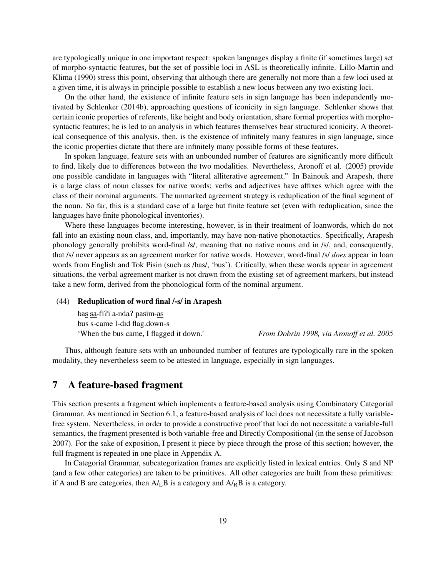are typologically unique in one important respect: spoken languages display a finite (if sometimes large) set of morpho-syntactic features, but the set of possible loci in ASL is theoretically infinite. Lillo-Martin and Klima (1990) stress this point, observing that although there are generally not more than a few loci used at a given time, it is always in principle possible to establish a new locus between any two existing loci.

On the other hand, the existence of infinite feature sets in sign language has been independently motivated by Schlenker (2014b), approaching questions of iconicity in sign language. Schlenker shows that certain iconic properties of referents, like height and body orientation, share formal properties with morphosyntactic features; he is led to an analysis in which features themselves bear structured iconicity. A theoretical consequence of this analysis, then, is the existence of infinitely many features in sign language, since the iconic properties dictate that there are infinitely many possible forms of these features.

In spoken language, feature sets with an unbounded number of features are significantly more difficult to find, likely due to differences between the two modalities. Nevertheless, Aronoff et al. (2005) provide one possible candidate in languages with "literal alliterative agreement." In Bainouk and Arapesh, there is a large class of noun classes for native words; verbs and adjectives have affixes which agree with the class of their nominal arguments. The unmarked agreement strategy is reduplication of the final segment of the noun. So far, this is a standard case of a large but finite feature set (even with reduplication, since the languages have finite phonological inventories).

Where these languages become interesting, however, is in their treatment of loanwords, which do not fall into an existing noun class, and, importantly, may have non-native phonotactics. Specifically, Arapesh phonology generally prohibits word-final /s/, meaning that no native nouns end in /s/, and, consequently, that /s/ never appears as an agreement marker for native words. However, word-final /s/ *does* appear in loan words from English and Tok Pisin (such as /bas/, 'bus'). Critically, when these words appear in agreement situations, the verbal agreement marker is not drawn from the existing set of agreement markers, but instead take a new form, derived from the phonological form of the nominal argument.

#### (44) Reduplication of word final /-s/ in Arapesh

bas sa-fiPi a-ndaP pasim-as bus s-came I-did flag.down-s 'When the bus came, I flagged it down.' *From Dobrin 1998, via Aronoff et al. 2005*

Thus, although feature sets with an unbounded number of features are typologically rare in the spoken modality, they nevertheless seem to be attested in language, especially in sign languages.

# 7 A feature-based fragment

This section presents a fragment which implements a feature-based analysis using Combinatory Categorial Grammar. As mentioned in Section 6.1, a feature-based analysis of loci does not necessitate a fully variablefree system. Nevertheless, in order to provide a constructive proof that loci do not necessitate a variable-full semantics, the fragment presented is both variable-free and Directly Compositional (in the sense of Jacobson 2007). For the sake of exposition, I present it piece by piece through the prose of this section; however, the full fragment is repeated in one place in Appendix A.

In Categorial Grammar, subcategorization frames are explicitly listed in lexical entries. Only S and NP (and a few other categories) are taken to be primitives. All other categories are built from these primitives: if A and B are categories, then  $A/_{L}B$  is a category and  $A/RB$  is a category.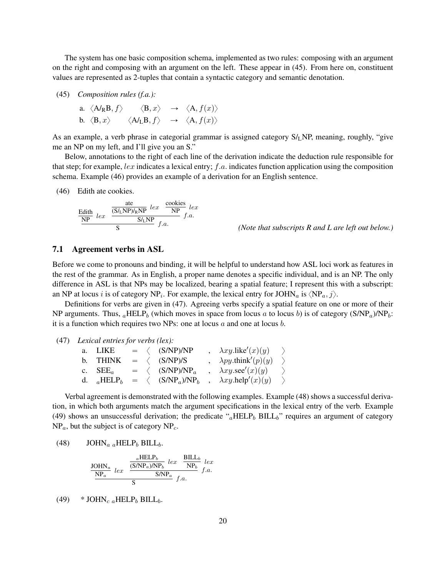The system has one basic composition schema, implemented as two rules: composing with an argument on the right and composing with an argument on the left. These appear in (45). From here on, constituent values are represented as 2-tuples that contain a syntactic category and semantic denotation.

$$
(45) \quad Composition rules (f.a.).
$$

a. 
$$
\langle A/RB, f \rangle
$$
  $\langle B, x \rangle \rightarrow \langle A, f(x) \rangle$   
b.  $\langle B, x \rangle$   $\langle A/LB, f \rangle \rightarrow \langle A, f(x) \rangle$ 

As an example, a verb phrase in categorial grammar is assigned category S/LNP, meaning, roughly, "give me an NP on my left, and I'll give you an S."

Below, annotations to the right of each line of the derivation indicate the deduction rule responsible for that step; for example, lex indicates a lexical entry; f.a. indicates function application using the composition schema. Example (46) provides an example of a derivation for an English sentence.

(46) Edith ate cookies.

$$
\frac{\text{Edith}}{\text{NP}}\text{ }lex \text{ }\frac{\frac{\text{ate}}{(\text{S/LNP})/\text{RNP}}\text{ }lex}{\text{S/LNP}}\text{ }fix\text{ }f.a.
$$

(Note that subscripts R and L are left out below.)

#### 7.1 Agreement verbs in ASL

Before we come to pronouns and binding, it will be helpful to understand how ASL loci work as features in the rest of the grammar. As in English, a proper name denotes a specific individual, and is an NP. The only difference in ASL is that NPs may be localized, bearing a spatial feature; I represent this with a subscript: an NP at locus i is of category NP<sub>i</sub>. For example, the lexical entry for JOHN<sub>a</sub> is  $\langle NP_a, j \rangle$ .

Definitions for verbs are given in (47). Agreeing verbs specify a spatial feature on one or more of their NP arguments. Thus,  $_{a}$ HELP<sub>b</sub> (which moves in space from locus a to locus b) is of category (S/NP<sub>a</sub>)/NP<sub>b</sub>: it is a function which requires two NPs: one at locus  $a$  and one at locus  $b$ .

#### (47) *Lexical entries for verbs (lex):*

| a. LIKE                   |               | $= \langle$ (S/NP)/NP              | $\lambda xy$ .like'(x)(y)    |  |
|---------------------------|---------------|------------------------------------|------------------------------|--|
| b. THINK                  |               | $= \langle$ (S/NP)/S               | $\lambda py.$ think'(p)(y)   |  |
| c. $SEE_a$                |               | $= \langle$ (S/NP)/NP <sub>a</sub> | $\lambda xy \sec'(x)(y)$     |  |
| d. $_0$ HELP <sub>h</sub> | $=$ $\langle$ | $(S/NP_a)/NP_b$                    | $\lambda xy.$ help' $(x)(y)$ |  |

Verbal agreement is demonstrated with the following examples. Example (48) shows a successful derivation, in which both arguments match the argument specifications in the lexical entry of the verb. Example (49) shows an unsuccessful derivation; the predicate " $_a$ HELP<sub>b</sub> BILL<sub>b</sub>" requires an argument of category  $NP_a$ , but the subject is of category  $NP_c$ .

(48) 
$$
\text{JOHN}_{a} \text{ a HELP}_b \text{ BILL}_b.
$$

$$
\frac{\text{JOHN}_a}{\frac{\text{NP}_a}{\text{NP}_a} \text{ }lex} \quad \frac{\overbrace{\text{(S/NP}_a)\text{/NP}_b}^{\text{aHELP}_b} \text{ }lex}{\text{S/NP}_a} \text{ } \frac{\text{BILL}_b}{\text{NP}_b} \text{ }lex}{f.a.}
$$

(49)  $*$  JOHN<sub>c a</sub>HELP<sub>b</sub> BILL<sub>b</sub>.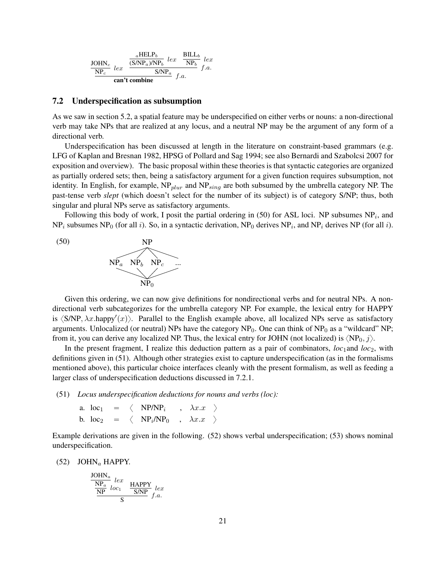

#### 7.2 Underspecification as subsumption

As we saw in section 5.2, a spatial feature may be underspecified on either verbs or nouns: a non-directional verb may take NPs that are realized at any locus, and a neutral NP may be the argument of any form of a directional verb.

Underspecification has been discussed at length in the literature on constraint-based grammars (e.g. LFG of Kaplan and Bresnan 1982, HPSG of Pollard and Sag 1994; see also Bernardi and Szabolcsi 2007 for exposition and overview). The basic proposal within these theories is that syntactic categories are organized as partially ordered sets; then, being a satisfactory argument for a given function requires subsumption, not identity. In English, for example,  $NP_{plur}$  and  $NP_{sing}$  are both subsumed by the umbrella category NP. The past-tense verb *slept* (which doesn't select for the number of its subject) is of category S/NP; thus, both singular and plural NPs serve as satisfactory arguments.

Following this body of work, I posit the partial ordering in  $(50)$  for ASL loci. NP subsumes NP<sub>i</sub>, and  $NP_i$  subsumes NP<sub>0</sub> (for all *i*). So, in a syntactic derivation, NP<sub>0</sub> derives NP<sub>i</sub>, and NP<sub>i</sub> derives NP (for all *i*).



Given this ordering, we can now give definitions for nondirectional verbs and for neutral NPs. A nondirectional verb subcategorizes for the umbrella category NP. For example, the lexical entry for HAPPY is  $\langle$ S/NP,  $\lambda x$ .happy' $\langle x \rangle$ . Parallel to the English example above, all localized NPs serve as satisfactory arguments. Unlocalized (or neutral) NPs have the category  $NP_0$ . One can think of NP<sub>0</sub> as a "wildcard" NP; from it, you can derive any localized NP. Thus, the lexical entry for JOHN (not localized) is  $\langle NP_0, j \rangle$ .

In the present fragment, I realize this deduction pattern as a pair of combinators,  $loc_1$ and  $loc_2$ , with definitions given in (51). Although other strategies exist to capture underspecification (as in the formalisms mentioned above), this particular choice interfaces cleanly with the present formalism, as well as feeding a larger class of underspecification deductions discussed in 7.2.1.

(51) *Locus underspecification deductions for nouns and verbs (loc):*

a. loc<sub>1</sub> =  $\langle$  NP/NP<sub>i</sub>,  $\lambda x.x$   $\rangle$ b. loc<sub>2</sub> =  $\langle NP_i/NP_0 \rangle, \lambda x.x \rangle$ 

Example derivations are given in the following. (52) shows verbal underspecification; (53) shows nominal underspecification.

 $(52)$  JOHN<sub>a</sub> HAPPY.

$$
\frac{\frac{\text{JOHN}_a}{\text{NP}_a} \text{ } lex}{\frac{\text{NP}}{\text{NP}} \text{ } loc_1} \frac{\text{HAPPY}}{\text{S/NP}} \text{ } lex}{f.a.}
$$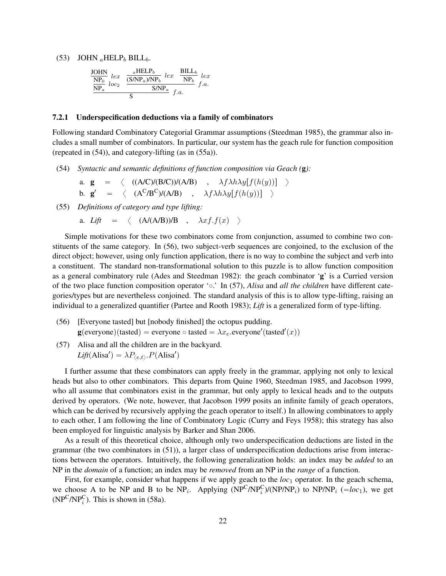#### (53) JOHN  $_a$ HELP $_b$  BILL $_b$ .

$$
\frac{\text{JOHN}}{\text{NP}_0} \underset{loc_2}{\underbrace{lex}} \quad \frac{{}_a\text{HELP}_b}{(\text{S/NP}_a)/\text{NP}_b} \underset{c}{\underbrace{lex}} \quad \frac{\text{BILL}_b}{\text{NP}_b} \underset{f.a.}{\underbrace{lex}} \\ \text{S/NP}_a \quad f.a.
$$

#### 7.2.1 Underspecification deductions via a family of combinators

Following standard Combinatory Categorial Grammar assumptions (Steedman 1985), the grammar also includes a small number of combinators. In particular, our system has the geach rule for function composition (repeated in (54)), and category-lifting (as in (55a)).

(54) *Syntactic and semantic definitions of function composition via Geach (*g*):*

a.  $g = \langle ((A/C)/(B/C))/(A/B) , \lambda f \lambda h \lambda y[f(h(y))] \rangle$ b.  $g' = \langle (A^C/B^C)/(A/B) , \lambda f \lambda h \lambda y[f(h(y))] \rangle$ 

(55) *Definitions of category and type lifting:*

a. *Lift*  $= \langle (A/(A/B))/B , \lambda x f.f(x) \rangle$ 

Simple motivations for these two combinators come from conjunction, assumed to combine two constituents of the same category. In (56), two subject-verb sequences are conjoined, to the exclusion of the direct object; however, using only function application, there is no way to combine the subject and verb into a constituent. The standard non-transformational solution to this puzzle is to allow function composition as a general combinatory rule (Ades and Steedman 1982): the geach combinator 'g' is a Curried version of the two place function composition operator ' $\circ$ .' In (57), *Alisa* and *all the children* have different categories/types but are nevertheless conjoined. The standard analysis of this is to allow type-lifting, raising an individual to a generalized quantifier (Partee and Rooth 1983); *Lift* is a generalized form of type-lifting.

- (56) [Everyone tasted] but [nobody finished] the octopus pudding.  $\mathbf{g}(\text{everyone})(\text{tasted}) = \text{everyone} \circ \text{tasted} = \lambda x_e.\text{everyone}'(\text{tasted}'(x))$
- (57) Alisa and all the children are in the backyard.  $Lift(Alisa') = \lambda P_{\langle e,t \rangle} P(Alisa')$

I further assume that these combinators can apply freely in the grammar, applying not only to lexical heads but also to other combinators. This departs from Quine 1960, Steedman 1985, and Jacobson 1999, who all assume that combinators exist in the grammar, but only apply to lexical heads and to the outputs derived by operators. (We note, however, that Jacobson 1999 posits an infinite family of geach operators, which can be derived by recursively applying the geach operator to itself.) In allowing combinators to apply to each other, I am following the line of Combinatory Logic (Curry and Feys 1958); this strategy has also been employed for linguistic analysis by Barker and Shan 2006.

As a result of this theoretical choice, although only two underspecification deductions are listed in the grammar (the two combinators in (51)), a larger class of underspecification deductions arise from interactions between the operators. Intuitively, the following generalization holds: an index may be *added* to an NP in the *domain* of a function; an index may be *removed* from an NP in the *range* of a function.

First, for example, consider what happens if we apply geach to the  $loc<sub>1</sub>$  operator. In the geach schema, we choose A to be NP and B to be NP<sub>i</sub>. Applying  $(NP^C/NP_i^C)/(N P/NP_i)$  to NP/NP<sub>i</sub> ( $= loc_1$ ), we get ( $NP<sup>C</sup>/NP<sub>i</sub><sup>C</sup>$ ). This is shown in (58a).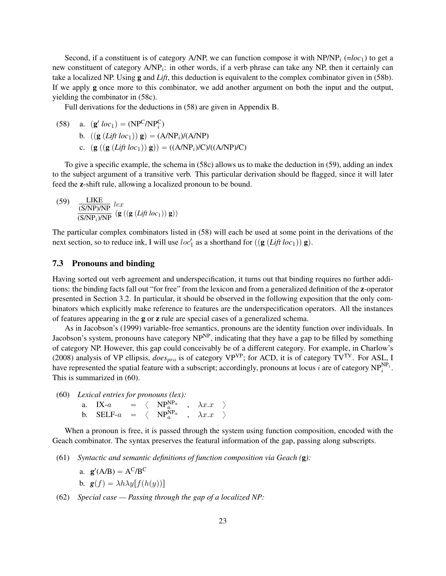Second, if a constituent is of category A/NP, we can function compose it with  $NP/NP_i$  (= $loc_1$ ) to get a new constituent of category  $A/NP_i$ : in other words, if a verb phrase can take any NP, then it certainly can take a localized NP. Using g and *Lift*, this deduction is equivalent to the complex combinator given in (58b). If we apply g once more to this combinator, we add another argument on both the input and the output, yielding the combinator in (58c).

Full derivations for the deductions in (58) are given in Appendix B.

(58) a. 
$$
(\mathbf{g}' \, loc_1) = (NP^C/NP_i^C)
$$
  
b.  $((\mathbf{g} \, (Lift \, loc_1)) \, \mathbf{g}) = (A/NP_i)/(A/NP)$   
c.  $(\mathbf{g} \, ((\mathbf{g} \, (Lift \, loc_1)) \, \mathbf{g})) = ((A/NP_i)/C)/((A/NP)/C)$ 

To give a specific example, the schema in (58c) allows us to make the deduction in (59), adding an index to the subject argument of a transitive verb. This particular derivation should be flagged, since it will later feed the z-shift rule, allowing a localized pronoun to be bound.

(59) 
$$
\frac{\text{LIKE}}{\text{(S/NP)/NP}} \text{lex} \frac{\text{lex}}{\text{(S/NP_i)/NP}} (\mathbf{g} ((\mathbf{g} (Lift \text{ loc}_1)) \mathbf{g}))
$$

The particular complex combinators listed in (58) will each be used at some point in the derivations of the next section, so to reduce ink, I will use  $loc'_1$  as a shorthand for  $((g(Lift loc_1))g)$ .

### 7.3 Pronouns and binding

Having sorted out verb agreement and underspecification, it turns out that binding requires no further additions: the binding facts fall out "for free" from the lexicon and from a generalized definition of the z-operator presented in Section 3.2. In particular, it should be observed in the following exposition that the only combinators which explicitly make reference to features are the underspecification operators. All the instances of features appearing in the g or z rule are special cases of a generalized schema.

As in Jacobson's (1999) variable-free semantics, pronouns are the identity function over individuals. In Jacobson's system, pronouns have category NP<sup>NP</sup>, indicating that they have a gap to be filled by something of category NP. However, this gap could conceivably be of a different category. For example, in Charlow's (2008) analysis of VP ellipsis,  $does_{pro}$  is of category VP<sup>VP</sup>; for ACD, it is of category TV<sup>TV</sup>. For ASL, I have represented the spatial feature with a subscript; accordingly, pronouns at locus i are of category  $NP_i^{NP_i}$ . This is summarized in (60).

- (60) *Lexical entries for pronouns (lex):*
	- a. IX- $a = \langle \text{NP}_a^{\text{NP}_a}$ ,  $\lambda x.x \rangle$ b. SELF- $a = \langle \text{NP}_a^{\text{NP}_a} , \lambda x . x \rangle$

When a pronoun is free, it is passed through the system using function composition, encoded with the Geach combinator. The syntax preserves the featural information of the gap, passing along subscripts.

- (61) *Syntactic and semantic definitions of function composition via Geach (*g*):*
	- a.  $\mathbf{g}'(A/B) = A^C/B^C$ b.  $g(f) = \lambda h \lambda y[f(h(y))]$
- (62) *Special case Passing through the gap of a localized NP:*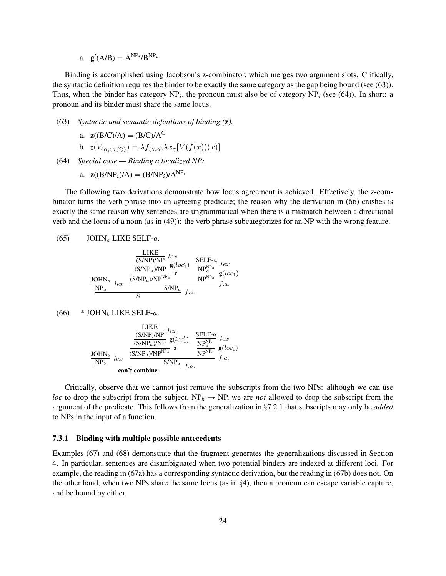a.  $\mathbf{g}'(A/B) = A^{NP_i}/B^{NP_i}$ 

Binding is accomplished using Jacobson's z-combinator, which merges two argument slots. Critically, the syntactic definition requires the binder to be exactly the same category as the gap being bound (see (63)). Thus, when the binder has category  $NP_i$ , the pronoun must also be of category  $NP_i$  (see (64)). In short: a pronoun and its binder must share the same locus.

- (63) *Syntactic and semantic definitions of binding (*z*):*
	- a.  $\mathbf{z}((B/C)/A) = (B/C)/A^C$

$$
\text{b. } \mathsf{z}(V_{\langle\alpha,\langle\gamma,\beta\rangle\rangle}) = \lambda f_{\langle\gamma,\alpha\rangle}\lambda x_{\gamma}[V(f(x))(x)]
$$

- (64) *Special case Binding a localized NP:*
	- a.  $\mathbf{z}((B/NP_i)/A) = (B/NP_i)/A^{NP_i}$

The following two derivations demonstrate how locus agreement is achieved. Effectively, the z-combinator turns the verb phrase into an agreeing predicate; the reason why the derivation in (66) crashes is exactly the same reason why sentences are ungrammatical when there is a mismatch between a directional verb and the locus of a noun (as in (49)): the verb phrase subcategorizes for an NP with the wrong feature.

(65) JOHN<sub>a</sub> LIKE SELF-a.

$$
\frac{\frac{\text{LIKE}}{(\text{S/NP})/\text{NP}} \text{lex}}{\frac{(\text{S/NP}_a)/\text{NP}}{\text{S/NP}_a/\text{NP}} \text{g}(loc_1') \quad \frac{\text{SELF-}a}{\text{NP}_a^{\text{NP}_a} \text{lex}} \text{lex}} \text{for } 1.2.2
$$
\n
$$
\frac{\text{JOHN}_a}{\text{NP}_a} \text{lex} \frac{(\text{S/NP}_a)/\text{NP}^{\text{NP}_a}}{\text{S/NP}_a} \text{fix} \text{f.a.}
$$

(66) 
$$
*
$$
 JOHN<sub>b</sub> LIKE SELF-*a*.

JOHN<sup>b</sup> NP<sup>b</sup> lex LIKE (S/NP)/NP lex (S/NPa)/NP <sup>g</sup>ploc<sup>1</sup> 1q (S/NPa)/NPNP<sup>a</sup> z SELF-a NPNP<sup>a</sup> a lex NPNP<sup>a</sup> gploc1q S/NP<sup>a</sup> f.a. can't combine f.a.

Critically, observe that we cannot just remove the subscripts from the two NPs: although we can use *loc* to drop the subscript from the subject,  $NP_b \rightarrow NP$ , we are *not* allowed to drop the subscript from the argument of the predicate. This follows from the generalization in §7.2.1 that subscripts may only be *added* to NPs in the input of a function.

#### 7.3.1 Binding with multiple possible antecedents

Examples (67) and (68) demonstrate that the fragment generates the generalizations discussed in Section 4. In particular, sentences are disambiguated when two potential binders are indexed at different loci. For example, the reading in (67a) has a corresponding syntactic derivation, but the reading in (67b) does not. On the other hand, when two NPs share the same locus (as in  $\S$ 4), then a pronoun can escape variable capture, and be bound by either.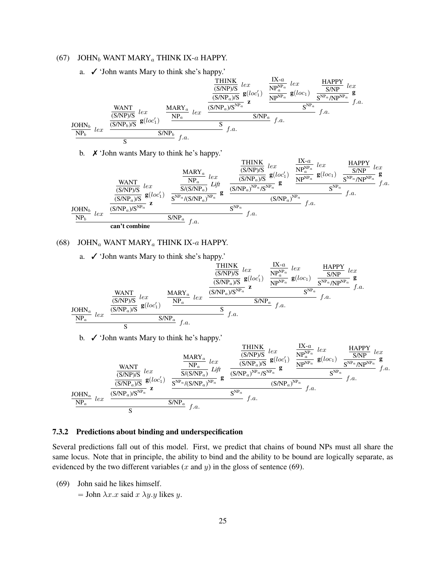#### (67) JOHN $_b$  WANT MARY $_a$  THINK IX- $a$  HAPPY.

a. ✓ 'John wants Mary to think she's happy.'

$$
\begin{array}{c|c|c|c|c|c} \hline & & & & & \hline \text{THINK} & & & \\ \hline &(S/NP)/S & lex & & & & \text{NP}_a^{NP} & lex & & \\ \hline &(S/NP)/S & g(loc_1') & & & & \text{NP}_a^{NP} & g(loc_1) & & & \text{SNP} & \text{Exp}_a \\ \hline &(S/NP)/S & lex & & & & & \text{NP}_a & g(loc_1') & & \text{SP}_a & g(loc_1) & \\ \hline &(S/NP)/S & g(loc_1') & & & & & \text{SNP}_a & g & & \text{SP}_a & \\ \hline &(S/NP_b)/S & g(loc_1') & & & & & \text{SNP}_a & f.a. & \\ \hline & & & & & & \text{SNP}_b & f.a. & & \\ \hline & & & & & & \text{SNP}_b & f.a. & & \\ \hline \end{array}
$$

b. ✗ 'John wants Mary to think he's happy.'

JOHN<sup>b</sup> NP<sup>b</sup> lex WANT (S/NP)/S lex (S/NPa)/S <sup>g</sup>ploc<sup>1</sup> 1q (S/NPa)/SNP<sup>a</sup> z MARY<sup>a</sup> NP<sup>a</sup> lex S/(S/NPa) *Lift* S NP<sup>a</sup> /(S/NPa) NPa g (S/NP)/S lex (S/NPa)/S <sup>g</sup>ploc<sup>1</sup> 1q (S/NPa) NP<sup>a</sup> /SNP<sup>a</sup> g IX-a NPNP<sup>a</sup> a lex NPNP<sup>a</sup> gploc1q HAPPY S/NP lex S NP<sup>a</sup> /NPNP<sup>a</sup> g S NPa f.a. (S/NPa) NPa f.a. S NPa f.a. S/NP<sup>a</sup> f.a. can't combine f.a.

THINK

(68) JOHN<sub>a</sub> WANT MARY<sub>a</sub> THINK IX- $a$  HAPPY.

a. ✓ 'John wants Mary to think she's happy.'

$$
\begin{array}{c|c|c|c|c|c|c|c} \hline & & & & \hline & & & & \hline & & & & \hline & & & & \hline & & & & \hline & & & & & \hline & & & & & \hline & & & & & \hline & & & & & \hline & & & & & \hline & & & & & \hline & & & & & \hline & & & & & \hline & & & & & \hline & & & & & \hline & & & & & \hline & & & & & \hline & & & & & \hline & & & & & \hline & & & & & \hline & & & & & \hline & & & & & \hline & & & & & \hline & & & & & \hline & & & & & \hline & & & & & \hline & & & & & \hline & & & & & \hline & & & & & \hline & & & & & \hline & & & & & \hline & & & & & \hline & & & & & \hline & & & & & \hline & & & & & \hline & & & & & \hline & & & & & \hline & & & & & \hline & & & & & \hline & & & & & \hline & & & & & \hline & & & & & \hline & & & & & \hline & & & & & \hline & & & & & \hline & & & & & \hline & & & & & \hline & & & & & \hline & & & & & \hline & & & & & \hline & & & & & \hline & & & & & \hline & & & & & \hline & & & & & \hline & & & & & \hline & & & & & \hline & & & & & \hline & & & & & \hline & & & & & \hline & & & & & \hline & & & & & \hline & & & & & \hline & & & & & \hline & & & & & \hline & & & & & \hline & & & & & \hline & & & & & \hline & & & & & \hline & & & & & \hline & & & & & \hline & & & & & \hline & & & & & \hline & & & & & \hline & & & & & \hline & & & & & \hline & & & & & \hline & & & & & \hline & & & & & \hline & & & & & \hline & & & & & \hline & & & & & \hline & & & & & \hline & & & & & \hline & & & & & \hline & & & & & \hline & & & & & \hline & & & & & \hline & & & & & \hline & & & & & \hline & & & & & \hline & & & & & \hline & & & & & \hline & & & & &
$$

b. ✓ 'John wants Mary to think he's happy.'

$$
\begin{array}{c|c|c|c|c|c|c} \hline & & & & \hline & & & & \hline & & & & \hline & & & & \hline & & & & \hline & & & & \hline & & & & \hline & & & & \hline & & & & \hline & & & & \hline & & & & \hline & & & & \hline & & & & \hline & & & & \hline & & & & \hline & & & & \hline & & & & \hline & & & & \hline & & & & \hline & & & & \hline & & & & \hline & & & & \hline & & & & \hline & & & & \hline & & & & \hline & & & & \hline & & & & \hline & & & & \hline & & & & \hline & & & & \hline & & & & \hline & & & & \hline & & & & \hline & & & & \hline & & & & \hline & & & & \hline & & & & \hline & & & & \hline & & & & \hline & & & & \hline & & & & \hline & & & & \hline & & & & \hline & & & & \hline & & & & \hline & & & & \hline & & & & \hline & & & & \hline & & & & \hline & & & & \hline & & & & \hline & & & & \hline & & & & \hline & & & & \hline & & & & \hline & & & & \hline & & & & \hline & & & & \hline & & & & \hline & & & & \hline & & & & \hline & & & & \hline & & & & \hline & & & & \hline & & & & \hline & & & & \hline & & & & \hline & & & & \hline & & & & \hline & & & & \hline & & & & \hline & & & & \hline & & & & \hline & & & & \hline & & & & \hline & & & & \hline & & & & \hline & & & & \hline & & & & \hline & & & & \hline & & & & \hline & & & & \hline & & & & \hline & & & & \hline & & & & \hline & & & & \hline & & & & \hline & & & & \hline & & & & \hline & & & & \hline & & & & \hline & & & & \hline & & & & \hline & & & & \hline & & & & \hline & & & & \hline & & & & \hline & & & & \hline & & & & \hline & & & & \hline & & & & \hline & & & & \hline & & & & \hline & & & & \hline & & & & \hline & & &
$$

### 7.3.2 Predictions about binding and underspecification

Several predictions fall out of this model. First, we predict that chains of bound NPs must all share the same locus. Note that in principle, the ability to bind and the ability to be bound are logically separate, as evidenced by the two different variables  $(x \text{ and } y)$  in the gloss of sentence (69).

(69) John said he likes himself.

 $=$  John  $\lambda x.x$  said  $x \lambda y.y$  likes  $y$ .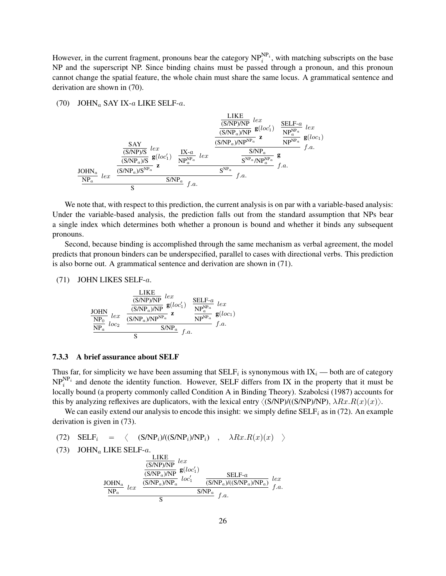However, in the current fragment, pronouns bear the category  $NP_i^{NP_i}$ , with matching subscripts on the base NP and the superscript NP. Since binding chains must be passed through a pronoun, and this pronoun cannot change the spatial feature, the whole chain must share the same locus. A grammatical sentence and derivation are shown in (70).

(70) JOHN<sub>a</sub> SAY IX-a LIKE SELF-a.

$$
\frac{\frac{\text{LIKE}}{(\text{S/NP})/\text{NP}} \text{ } lex}{\frac{(\text{S/NP})/\text{NP}}{(\text{S/NP})/\text{NP}} \text{ } g(loc_1')} \text{ } \frac{\text{SELF-a}}{\text{NP}_a} \text{ } lex
$$
\n
$$
\frac{\frac{\text{SAY}}{(\text{S/NP})/\text{S}} \text{ } lex}{\frac{(\text{S/NP})/\text{S}}{(\text{S/NP}_a)/\text{S}} \text{ } g(loc_1')} \text{ } \frac{\text{IX-a}}{\text{NP}_a} \text{ } lex \text{ } \frac{\text{S/NP}_a}{\text{S/NP}_a} \text{ } g(loc_1)}
$$
\n
$$
\frac{\frac{\text{SAY}}{(\text{S/NP}_a)/\text{S}} \text{ } lex}{\frac{(\text{S/NP}_a)/\text{S}}{(\text{S/NP}_a)/\text{S}} \text{ } g(loc_1')} \text{ } g(loc_1)}
$$
\n
$$
\frac{\frac{\text{SIKE}}{\text{S/NP}_a}}{\text{S/NP}_a} \text{ } g(loc_1')
$$
\n
$$
\frac{\frac{\text{SIKE}}{\text{S/NP}_a}}{\text{S/NP}_a} \text{ } g(loc_1')
$$
\n
$$
\frac{\frac{\text{SIKE}}{\text{S/NP}_a}}{\text{S/NP}_a} \text{ } g(loc_1')
$$
\n
$$
\frac{\frac{\text{SIKE}}{\text{S/NP}_a}}{\text{S/NP}_a} \text{ } g(loc_1')
$$

We note that, with respect to this prediction, the current analysis is on par with a variable-based analysis: Under the variable-based analysis, the prediction falls out from the standard assumption that NPs bear a single index which determines both whether a pronoun is bound and whether it binds any subsequent pronouns.

Second, because binding is accomplished through the same mechanism as verbal agreement, the model predicts that pronoun binders can be underspecified, parallel to cases with directional verbs. This prediction is also borne out. A grammatical sentence and derivation are shown in (71).

#### (71) JOHN LIKES SELF-a.

$$
\underbrace{\frac{\text{LIKE}}{\text{S/NP}/\text{NP}}}_{\text{NP}_a} \underbrace{\frac{\text{GELF-}a}{\text{(S/NP}_a)/\text{NP}}} _{\text{SP}_a} \underbrace{\mathbf{g}(loc_1')}_{\text{Z}} \underbrace{\frac{\text{SELF-}a}{\text{NP}_a} \text{lex}}_{\text{NP}^{\text{NP}_a}} \underbrace{\text{Iex}}_{\text{SE}(\text{loc}_1)} \\ \underbrace{\frac{\text{DELF-}a}{\text{NP}_a} \text{lex}}_{\text{S/NP}_a} \underbrace{\mathbf{g}(loc_1)}_{\text{S}(\text{loc}_2)} \\ \underbrace{\frac{\text{SELF-}a}{\text{NP}^{\text{NP}_a}} \text{lex}}_{\text{S}(\text{loc}_1)} \\ \underbrace{\text{SE}^{\text{IE}}_{\text{S}} \text{lex}}_{\text{S}(\text{loc}_2)} \underbrace{\frac{\text{SELF-}a}{\text{NP}^{\text{NP}_a}} \text{lex}}_{\text{S}(\text{loc}_1)} \\
$$

#### 7.3.3 A brief assurance about SELF

Thus far, for simplicity we have been assuming that  $SELF_i$  is synonymous with  $IX_i$  — both are of category  $NP_i^{NP_i}$  and denote the identity function. However, SELF differs from IX in the property that it must be locally bound (a property commonly called Condition A in Binding Theory). Szabolcsi (1987) accounts for this by analyzing reflexives are duplicators, with the lexical entry  $\langle (S/NP)/(S/NP) \rangle$ ,  $\lambda Rx.R(x)(x)\rangle$ .

We can easily extend our analysis to encode this insight: we simply define  $SELF<sub>i</sub>$  as in (72). An example derivation is given in (73).

(72) 
$$
SELF_i = \langle (S/NP_i)/((S/NP_i)/NP_i) , \lambda Rx.R(x)(x) \rangle
$$

(73) 
$$
JOHN_a
$$
 LIKE SELF-a.

| LINE SLLE                                                                    | LLKE |
|------------------------------------------------------------------------------|------|
| $\frac{\text{LINKE}}{(\text{S/NP})/\text{NP}} \text{ lex}$                   |      |
| $\frac{\text{(S/NP)}/\text{NP}}{(\text{S/NP}_a)/\text{NP}_a} \text{ loc}'_1$ |      |
| $\frac{\text{NEL}}{\text{NP}_a} \text{ lex}$                                 |      |
| $\frac{\text{NP}}{\text{NP}_a} \text{ lex}$                                  |      |
| $\frac{\text{SNP}}{\text{S}} \text{ S/NP}_a \text{ s}$                       |      |
| $\frac{\text{SNP}}{\text{S}} \text{ f.a.}$                                   |      |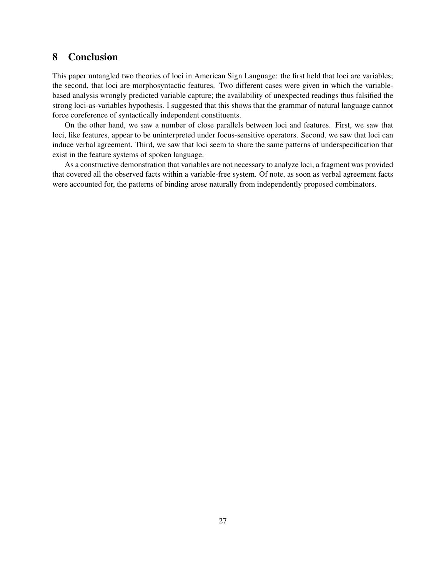# 8 Conclusion

This paper untangled two theories of loci in American Sign Language: the first held that loci are variables; the second, that loci are morphosyntactic features. Two different cases were given in which the variablebased analysis wrongly predicted variable capture; the availability of unexpected readings thus falsified the strong loci-as-variables hypothesis. I suggested that this shows that the grammar of natural language cannot force coreference of syntactically independent constituents.

On the other hand, we saw a number of close parallels between loci and features. First, we saw that loci, like features, appear to be uninterpreted under focus-sensitive operators. Second, we saw that loci can induce verbal agreement. Third, we saw that loci seem to share the same patterns of underspecification that exist in the feature systems of spoken language.

As a constructive demonstration that variables are not necessary to analyze loci, a fragment was provided that covered all the observed facts within a variable-free system. Of note, as soon as verbal agreement facts were accounted for, the patterns of binding arose naturally from independently proposed combinators.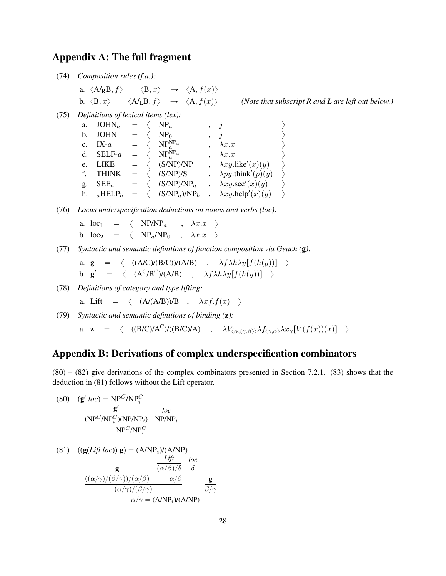# Appendix A: The full fragment

(74) *Composition rules (f.a.):*

\n- a. 
$$
\langle A/RB, f \rangle
$$
  $\langle B, x \rangle$   $\rightarrow$   $\langle A, f(x) \rangle$
\n- b.  $\langle B, x \rangle$   $\langle A/LB, f \rangle$   $\rightarrow$   $\langle A, f(x) \rangle$  *(Note that subscript R and L are left out below.)*
\n

(75) *Definitions of lexical items (lex):*

|                | a. $JOHN_a$       |               | $= \langle NP_a$                                 | $\, \, \eta$                     |  |
|----------------|-------------------|---------------|--------------------------------------------------|----------------------------------|--|
| $\mathbf{b}$ . | JOHN              | $=$ $\langle$ | $NP_0$                                           | $\, \, j \,$                     |  |
|                | c. IX- $a$        |               | $= \langle NP_a^{\text{NP}_a}$                   | $\lambda x.x$                    |  |
|                | d. SELF- $a$      |               | $= \langle NP_a^{NP_a}$                          | $\lambda x.x$                    |  |
|                | e. LIKE           |               | $= \langle$ (S/NP)/NP                            | $\lambda xy$ .like'(x)(y)        |  |
|                | f. THINK          |               | $= \langle$ (S/NP)/S                             | $\lambda py.$ think' $(p)(y)$    |  |
|                | g. $\text{SEE}_a$ |               | $= \langle$ (S/NP)/NP <sub>a</sub>               | $\lambda xy \sec'(x)(y)$         |  |
|                | h. $_a$ HELP $_b$ |               | $= \langle$ (S/NP <sub>a</sub> )/NP <sub>b</sub> | $\lambda xy \text{.help}'(x)(y)$ |  |

(76) *Locus underspecification deductions on nouns and verbs (loc):*

a.  $loc_1 = \langle NP/NP_a , \lambda x . x \rangle$ b.  $\log_2 = \langle \text{NP}_a/\text{NP}_0 , \lambda x.x \rangle$ 

(77) *Syntactic and semantic definitions of function composition via Geach (*g*):*

a. 
$$
\mathbf{g} = \langle ((A/C)/(B/C))/(A/B) , \lambda f \lambda h \lambda y [f(h(y))] \rangle
$$
  
b.  $\mathbf{g}' = \langle (A^C/B^C)/(A/B) , \lambda f \lambda h \lambda y [f(h(y))] \rangle$ 

(78) *Definitions of category and type lifting:*

a. Lift = 
$$
\langle (A/(A/B))/B , \lambda x f.f(x) \rangle
$$

(79) *Syntactic and semantic definitions of binding (*z*):* a. z =  $\langle ((B/C)/A^C)/((B/C)/A)$  ,  $\lambda V_{\langle\alpha,\langle\gamma,\beta\rangle\rangle}\lambda f_{\langle\gamma,\alpha\rangle}\lambda x_{\gamma}[V(f(x))(x)]$   $\rangle$ 

# Appendix B: Derivations of complex underspecification combinators

 $(80) - (82)$  give derivations of the complex combinators presented in Section 7.2.1.  $(83)$  shows that the deduction in (81) follows without the Lift operator.

(80) 
$$
(\mathbf{g}' \text{ loc}) = \text{NP}^C/\text{NP}_i^C
$$

$$
\frac{\mathbf{g}'}{(\text{NP}^C/\text{NP}_i^C)(\text{NP}/\text{NP}_i)} \frac{\text{loc}}{\text{NP}/\text{NP}_i}
$$

$$
\frac{\text{NP}^C/\text{NP}_i^C}{\text{NP}^C/\text{NP}_i^C}
$$

(81) 
$$
((\mathbf{g}(Lift loc)) \mathbf{g}) = (A/NP_i)/(A/NP)
$$
  
\n
$$
\frac{\mathbf{g}}{(\alpha/\gamma)/(\beta/\gamma)/(\alpha/\beta)} \frac{Lift}{(\alpha/\beta)/\delta} \frac{loc}{\delta}
$$
\n
$$
\frac{(\alpha/\gamma)/(\beta/\gamma)/(\alpha/\beta)}{(\alpha/\gamma)/(\beta/\gamma)} \frac{\mathbf{g}}{\alpha/\beta}
$$
\n
$$
\frac{(\alpha/\gamma)/(\beta/\gamma)}{\alpha/\gamma} = (A/NP_i)/(A/NP)
$$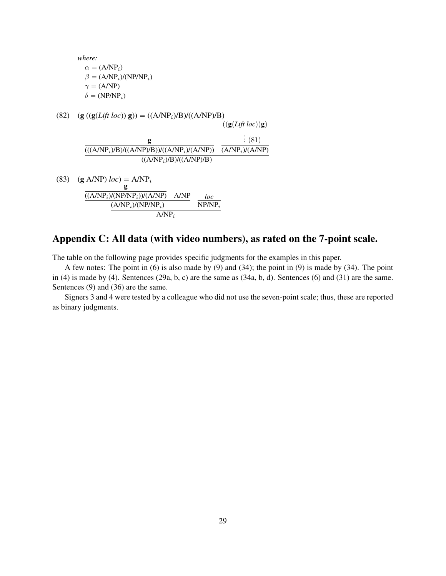*where:*  $\alpha = (A/NP_i)$  $\beta = (A/NP_i)/(NP/NP_i)$  $\gamma = (A/NP)$  $\delta = (NP/NP_i)$ 

- (82)  $(g (g(Lift loc)) g)) = ((A/NP<sub>i</sub>)/B)/((A/NP)/B)$ g  $(((A/NP<sub>i</sub>)/B)/((A/NP)/B))/((A/NP<sub>i</sub>)/(A/NP))$  $\frac{f(\mathbf{g}(Lift\;loc))\mathbf{g})}{g(\mathbf{g}(Lift\;loc))}$ . .  $: (81)$  $(A/NP<sub>i</sub>)/(A/NP)$  $\sqrt{(A/NP_i)/B}/((A/NP)/B)$
- (83) (g A/NP)  $loc$ ) = A/NP<sub>i</sub> g  $((A/NP_i)/(NP/NP_i))/(A/NP)$  A/NP  $(A/NP_i)/(NP/NP_i)$ *loc*  $N P/N P_i$  $A/NP_i$

# Appendix C: All data (with video numbers), as rated on the 7-point scale.

The table on the following page provides specific judgments for the examples in this paper.

A few notes: The point in (6) is also made by (9) and (34); the point in (9) is made by (34). The point in (4) is made by (4). Sentences (29a, b, c) are the same as (34a, b, d). Sentences (6) and (31) are the same. Sentences (9) and (36) are the same.

Signers 3 and 4 were tested by a colleague who did not use the seven-point scale; thus, these are reported as binary judgments.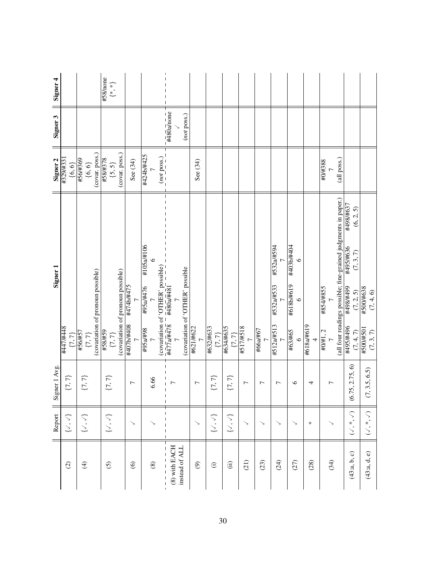|                          | Report                                              | Signer 1 Avg<br>$=$                       | Signer <sub>1</sub>                                                                                           | Signer <sub>2</sub>     | Signer 3                | Signer <sub>4</sub>                       |
|--------------------------|-----------------------------------------------------|-------------------------------------------|---------------------------------------------------------------------------------------------------------------|-------------------------|-------------------------|-------------------------------------------|
| $\widehat{\Omega}$       | $\{ \cdot, \cdot \}$                                | $\{7,7\}$                                 | #447/#448<br>$\{7,7\}$                                                                                        | #329/#331<br>$\{6, 6\}$ |                         |                                           |
| $\bigoplus$              | $\{ \mathcal{N}, \mathcal{N} \}$                    | $\{7,7\}$                                 | #56/#57<br>$\{7,7\}$                                                                                          | #56/#369<br>$\{6,6\}$   |                         |                                           |
|                          |                                                     |                                           | (covariation of pronoun possible)                                                                             | (covar. poss.)          |                         |                                           |
| $\odot$                  | $\{ \mathcal{N}, \mathcal{N} \}$                    | $\{7,7\}$                                 | $\frac{+58/+59}{\{7,7\}}$                                                                                     | #58/#378<br>$\{5,5\}$   |                         | #58/none<br>$\left\{ \ast ,\ast \right\}$ |
|                          |                                                     |                                           | (covariation of pronoun possible)                                                                             | (covar. poss.)          |                         |                                           |
| $\circledcirc$           | $\mathord{>}$                                       | $\overline{ }$                            | #474b/#475<br>#407b/#408                                                                                      | See (34)                |                         |                                           |
|                          |                                                     |                                           | #105a/#106<br>#95a/#476<br>$\frac{L}{86\#/26\#}$                                                              | #424b/#425<br>7         |                         |                                           |
| $\circledast$            | ↘                                                   | 6.66                                      | $\frac{(\text{covarianton of 'OTHER' possible})}{\#477a\#478} = \frac{4480a\#481}{\#480a\#481} =$             | (mot pos.)              |                         |                                           |
| $(8)$ with EACH          |                                                     | $\overline{ }$<br>$\sf I$<br>$\mathbf{I}$ |                                                                                                               |                         | $-\frac{1}{4480}$ anone |                                           |
| instead of ALL           |                                                     |                                           | (covariation of 'OTHER' possible                                                                              |                         | (not poss.)             |                                           |
| $\widehat{\mathfrak{G}}$ | $\searrow$                                          | $\overline{ }$                            | #621/#622                                                                                                     | See (34)                |                         |                                           |
| $\oplus$                 | $\{ \mathcal{N}, \mathcal{N} \}$                    | ${7, 7}$                                  | #632/#633                                                                                                     |                         |                         |                                           |
| $\widehat{\mathbf{d}}$   | $\{x, y\}$                                          | $\{7,7\}$                                 | $\begin{array}{c}\n\{7, 7\} \\ \hline\n\text{#634/#635} \\ \{7, 7\} \\ \hline\n\text{#517/#518}\n\end{array}$ |                         |                         |                                           |
| (21)                     | ↘                                                   | $\overline{ }$                            |                                                                                                               |                         |                         |                                           |
| (23)                     | ↘                                                   | $\overline{ }$                            | #66a/#67                                                                                                      |                         |                         |                                           |
| (24)                     | ↘                                                   | $\overline{ }$                            | #532a/#594<br>#532a/#533<br>#512a/#513                                                                        |                         |                         |                                           |
| (27)                     | ↘                                                   | $\circ$                                   | #403b/#404<br>$\circ$<br>#618b/#619<br>$\circ$<br>#63/#65<br>$\circ$                                          |                         |                         |                                           |
| (28)                     | ∗                                                   | 4                                         | #618a/#619                                                                                                    |                         |                         |                                           |
| (34)                     | ↘                                                   | ┌                                         | (all four readings possible; fine-grained judgments in paper.)<br>#854/#855<br>$\frac{+0}{\sqrt{1}}$<br>7     | (all poss.)<br>#0/#388  |                         |                                           |
| (43:a, b, c)             | $(\mathord\searrow, \mathord{*}, \mathord\nearrow)$ | 75, 2.75, 6)<br>$\mathfrak{S}$            | #498/#637<br>(6, 2, 5)<br>#495/#636<br>(7, 3, 7)<br>667#/867#<br>(7, 2, 5)<br>+495/#496<br>(7, 4, 7)          |                         |                         |                                           |
| (43:a, d, e)             | $(\searrow^*, \searrow)$                            | (7, 3.5, 6.5)                             | #500/#638<br>(7, 4, 6)<br>#500/#501<br>(7, 3, 7)                                                              |                         |                         |                                           |
|                          |                                                     |                                           |                                                                                                               |                         |                         |                                           |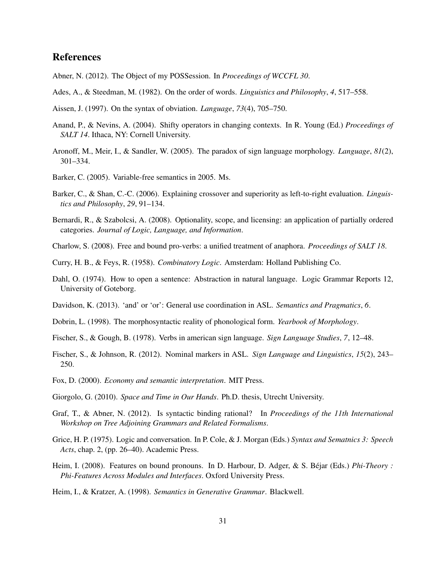# References

- Abner, N. (2012). The Object of my POSSession. In *Proceedings of WCCFL 30*.
- Ades, A., & Steedman, M. (1982). On the order of words. *Linguistics and Philosophy*, *4*, 517–558.
- Aissen, J. (1997). On the syntax of obviation. *Language*, *73*(4), 705–750.
- Anand, P., & Nevins, A. (2004). Shifty operators in changing contexts. In R. Young (Ed.) *Proceedings of SALT 14.* Ithaca, NY: Cornell University.
- Aronoff, M., Meir, I., & Sandler, W. (2005). The paradox of sign language morphology. *Language*, *81*(2), 301–334.
- Barker, C. (2005). Variable-free semantics in 2005. Ms.
- Barker, C., & Shan, C.-C. (2006). Explaining crossover and superiority as left-to-right evaluation. *Linguistics and Philosophy*, *29*, 91–134.
- Bernardi, R., & Szabolcsi, A. (2008). Optionality, scope, and licensing: an application of partially ordered categories. *Journal of Logic, Language, and Information*.
- Charlow, S. (2008). Free and bound pro-verbs: a unified treatment of anaphora. *Proceedings of SALT 18*.
- Curry, H. B., & Feys, R. (1958). *Combinatory Logic*. Amsterdam: Holland Publishing Co.
- Dahl, O. (1974). How to open a sentence: Abstraction in natural language. Logic Grammar Reports 12, University of Goteborg.
- Davidson, K. (2013). 'and' or 'or': General use coordination in ASL. *Semantics and Pragmatics*, *6*.
- Dobrin, L. (1998). The morphosyntactic reality of phonological form. *Yearbook of Morphology*.
- Fischer, S., & Gough, B. (1978). Verbs in american sign language. *Sign Language Studies*, *7*, 12–48.
- Fischer, S., & Johnson, R. (2012). Nominal markers in ASL. *Sign Language and Linguistics*, *15*(2), 243– 250.
- Fox, D. (2000). *Economy and semantic interpretation*. MIT Press.
- Giorgolo, G. (2010). *Space and Time in Our Hands*. Ph.D. thesis, Utrecht University.
- Graf, T., & Abner, N. (2012). Is syntactic binding rational? In *Proceedings of the 11th International Workshop on Tree Adjoining Grammars and Related Formalisms*.
- Grice, H. P. (1975). Logic and conversation. In P. Cole, & J. Morgan (Eds.) *Syntax and Sematnics 3: Speech Acts*, chap. 2, (pp. 26–40). Academic Press.
- Heim, I. (2008). Features on bound pronouns. In D. Harbour, D. Adger, & S. Béjar (Eds.) *Phi-Theory : Phi-Features Across Modules and Interfaces*. Oxford University Press.
- Heim, I., & Kratzer, A. (1998). *Semantics in Generative Grammar*. Blackwell.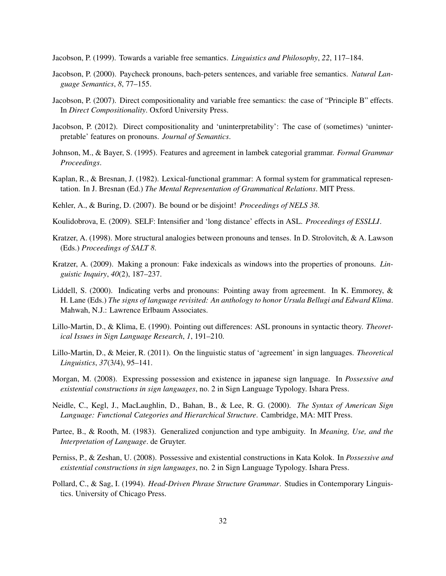Jacobson, P. (1999). Towards a variable free semantics. *Linguistics and Philosophy*, *22*, 117–184.

- Jacobson, P. (2000). Paycheck pronouns, bach-peters sentences, and variable free semantics. *Natural Language Semantics*, *8*, 77–155.
- Jacobson, P. (2007). Direct compositionality and variable free semantics: the case of "Principle B" effects. In *Direct Compositionality*. Oxford University Press.
- Jacobson, P. (2012). Direct compositionality and 'uninterpretability': The case of (sometimes) 'uninterpretable' features on pronouns. *Journal of Semantics*.
- Johnson, M., & Bayer, S. (1995). Features and agreement in lambek categorial grammar. *Formal Grammar Proceedings*.
- Kaplan, R., & Bresnan, J. (1982). Lexical-functional grammar: A formal system for grammatical representation. In J. Bresnan (Ed.) *The Mental Representation of Grammatical Relations*. MIT Press.
- Kehler, A., & Buring, D. (2007). Be bound or be disjoint! *Proceedings of NELS 38*.
- Koulidobrova, E. (2009). SELF: Intensifier and 'long distance' effects in ASL. *Proceedings of ESSLLI*.
- Kratzer, A. (1998). More structural analogies between pronouns and tenses. In D. Strolovitch, & A. Lawson (Eds.) *Proceedings of SALT 8*.
- Kratzer, A. (2009). Making a pronoun: Fake indexicals as windows into the properties of pronouns. *Linguistic Inquiry*, *40*(2), 187–237.
- Liddell, S. (2000). Indicating verbs and pronouns: Pointing away from agreement. In K. Emmorey, & H. Lane (Eds.) *The signs of language revisited: An anthology to honor Ursula Bellugi and Edward Klima*. Mahwah, N.J.: Lawrence Erlbaum Associates.
- Lillo-Martin, D., & Klima, E. (1990). Pointing out differences: ASL pronouns in syntactic theory. *Theoretical Issues in Sign Language Research*, *1*, 191–210.
- Lillo-Martin, D., & Meier, R. (2011). On the linguistic status of 'agreement' in sign languages. *Theoretical Linguistics*, *37*(3/4), 95–141.
- Morgan, M. (2008). Expressing possession and existence in japanese sign language. In *Possessive and existential constructions in sign languages*, no. 2 in Sign Language Typology. Ishara Press.
- Neidle, C., Kegl, J., MacLaughlin, D., Bahan, B., & Lee, R. G. (2000). *The Syntax of American Sign Language: Functional Categories and Hierarchical Structure*. Cambridge, MA: MIT Press.
- Partee, B., & Rooth, M. (1983). Generalized conjunction and type ambiguity. In *Meaning, Use, and the Interpretation of Language*. de Gruyter.
- Perniss, P., & Zeshan, U. (2008). Possessive and existential constructions in Kata Kolok. In *Possessive and existential constructions in sign languages*, no. 2 in Sign Language Typology. Ishara Press.
- Pollard, C., & Sag, I. (1994). *Head-Driven Phrase Structure Grammar*. Studies in Contemporary Linguistics. University of Chicago Press.